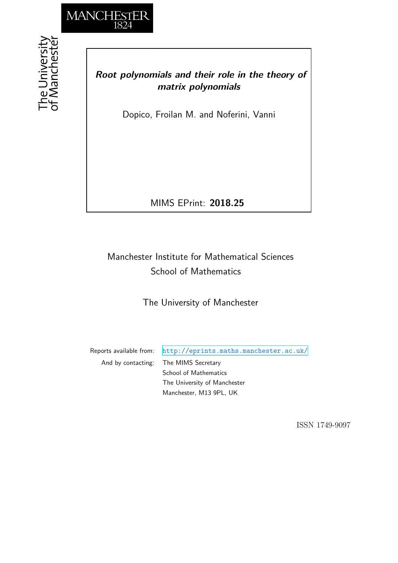

## *Root polynomials and their role in the theory of matrix polynomials*

Dopico, Froilan M. and Noferini, Vanni

MIMS EPrint: **2018.25**

## Manchester Institute for Mathematical Sciences School of Mathematics

The University of Manchester

Reports available from: <http://eprints.maths.manchester.ac.uk/> And by contacting: The MIMS Secretary School of Mathematics The University of Manchester Manchester, M13 9PL, UK

ISSN 1749-9097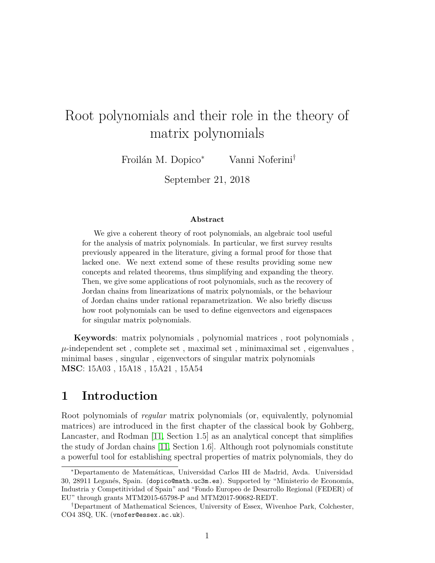# Root polynomials and their role in the theory of matrix polynomials

Froilán M. Dopico<sup>∗</sup> Vanni Noferini†

September 21, 2018

#### **Abstract**

We give a coherent theory of root polynomials, an algebraic tool useful for the analysis of matrix polynomials. In particular, we first survey results previously appeared in the literature, giving a formal proof for those that lacked one. We next extend some of these results providing some new concepts and related theorems, thus simplifying and expanding the theory. Then, we give some applications of root polynomials, such as the recovery of Jordan chains from linearizations of matrix polynomials, or the behaviour of Jordan chains under rational reparametrization. We also briefly discuss how root polynomials can be used to define eigenvectors and eigenspaces for singular matrix polynomials.

**Keywords**: matrix polynomials , polynomial matrices , root polynomials ,  $\mu$ -independent set, complete set, maximal set, minimaximal set, eigenvalues, minimal bases , singular , eigenvectors of singular matrix polynomials **MSC**: 15A03 , 15A18 , 15A21 , 15A54

## **1 Introduction**

Root polynomials of *regular* matrix polynomials (or, equivalently, polynomial matrices) are introduced in the first chapter of the classical book by Gohberg, Lancaster, and Rodman [\[11,](#page-34-0) Section 1.5] as an analytical concept that simplifies the study of Jordan chains [\[11,](#page-34-0) Section 1.6]. Although root polynomials constitute a powerful tool for establishing spectral properties of matrix polynomials, they do

<sup>∗</sup>Departamento de Matemáticas, Universidad Carlos III de Madrid, Avda. Universidad 30, 28911 Leganés, Spain. (dopico@math.uc3m.es). Supported by "Ministerio de Economía, Industria y Competitividad of Spain" and "Fondo Europeo de Desarrollo Regional (FEDER) of EU" through grants MTM2015-65798-P and MTM2017-90682-REDT.

<sup>†</sup>Department of Mathematical Sciences, University of Essex, Wivenhoe Park, Colchester, CO4 3SQ, UK. (vnofer@essex.ac.uk).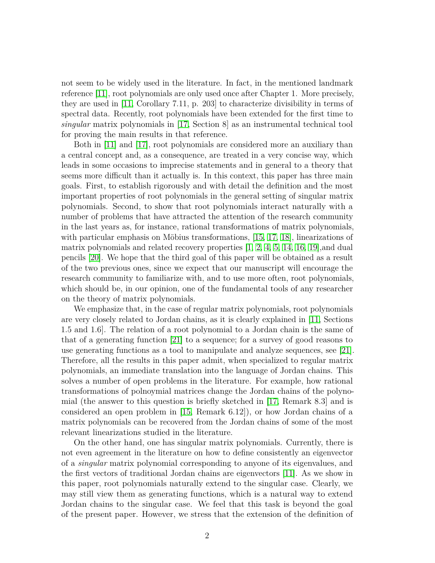not seem to be widely used in the literature. In fact, in the mentioned landmark reference [\[11\]](#page-34-0), root polynomials are only used once after Chapter 1. More precisely, they are used in [\[11,](#page-34-0) Corollary 7.11, p. 203] to characterize divisibility in terms of spectral data. Recently, root polynomials have been extended for the first time to *singular* matrix polynomials in [\[17,](#page-35-0) Section 8] as an instrumental technical tool for proving the main results in that reference.

Both in [\[11\]](#page-34-0) and [\[17\]](#page-35-0), root polynomials are considered more an auxiliary than a central concept and, as a consequence, are treated in a very concise way, which leads in some occasions to imprecise statements and in general to a theory that seems more difficult than it actually is. In this context, this paper has three main goals. First, to establish rigorously and with detail the definition and the most important properties of root polynomials in the general setting of singular matrix polynomials. Second, to show that root polynomials interact naturally with a number of problems that have attracted the attention of the research community in the last years as, for instance, rational transformations of matrix polynomials, with particular emphasis on Möbius transformations, [\[15,](#page-35-1) [17,](#page-35-0) [18\]](#page-35-2), linearizations of matrix polynomials and related recovery properties [\[1,](#page-34-1) [2,](#page-34-2) [4,](#page-34-3) [5,](#page-34-4) [14,](#page-35-3) [16,](#page-35-4) [19\]](#page-35-5),and dual pencils [\[20\]](#page-35-6). We hope that the third goal of this paper will be obtained as a result of the two previous ones, since we expect that our manuscript will encourage the research community to familiarize with, and to use more often, root polynomials, which should be, in our opinion, one of the fundamental tools of any researcher on the theory of matrix polynomials.

We emphasize that, in the case of regular matrix polynomials, root polynomials are very closely related to Jordan chains, as it is clearly explained in [\[11,](#page-34-0) Sections 1.5 and 1.6]. The relation of a root polynomial to a Jordan chain is the same of that of a generating function [\[21\]](#page-35-7) to a sequence; for a survey of good reasons to use generating functions as a tool to manipulate and analyze sequences, see [\[21\]](#page-35-7). Therefore, all the results in this paper admit, when specialized to regular matrix polynomials, an immediate translation into the language of Jordan chains. This solves a number of open problems in the literature. For example, how rational transformations of polnoymial matrices change the Jordan chains of the polynomial (the answer to this question is briefly sketched in  $|17$ , Remark 8.3 and is considered an open problem in [\[15,](#page-35-1) Remark 6.12]), or how Jordan chains of a matrix polynomials can be recovered from the Jordan chains of some of the most relevant linearizations studied in the literature.

On the other hand, one has singular matrix polynomials. Currently, there is not even agreement in the literature on how to define consistently an eigenvector of a *singular* matrix polynomial corresponding to anyone of its eigenvalues, and the first vectors of traditional Jordan chains are eigenvectors [\[11\]](#page-34-0). As we show in this paper, root polynomials naturally extend to the singular case. Clearly, we may still view them as generating functions, which is a natural way to extend Jordan chains to the singular case. We feel that this task is beyond the goal of the present paper. However, we stress that the extension of the definition of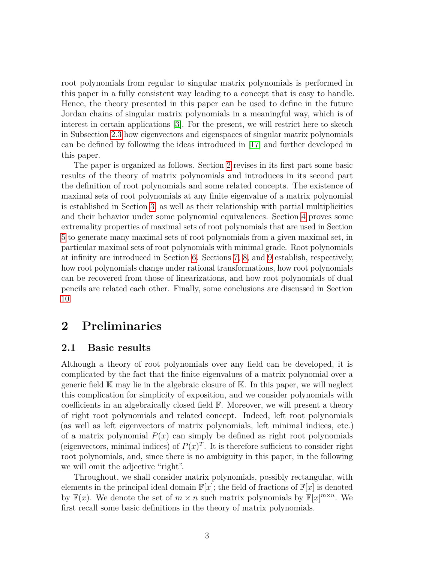root polynomials from regular to singular matrix polynomials is performed in this paper in a fully consistent way leading to a concept that is easy to handle. Hence, the theory presented in this paper can be used to define in the future Jordan chains of singular matrix polynomials in a meaningful way, which is of interest in certain applications [\[3\]](#page-34-5). For the present, we will restrict here to sketch in Subsection [2.3](#page-8-0) how eigenvectors and eigenspaces of singular matrix polynomials can be defined by following the ideas introduced in [\[17\]](#page-35-0) and further developed in this paper.

The paper is organized as follows. Section [2](#page-3-0) revises in its first part some basic results of the theory of matrix polynomials and introduces in its second part the definition of root polynomials and some related concepts. The existence of maximal sets of root polynomials at any finite eigenvalue of a matrix polynomial is established in Section [3,](#page-10-0) as well as their relationship with partial multiplicities and their behavior under some polynomial equivalences. Section [4](#page-13-0) proves some extremality properties of maximal sets of root polynomials that are used in Section [5](#page-15-0) to generate many maximal sets of root polynomials from a given maximal set, in particular maximal sets of root polynomials with minimal grade. Root polynomials at infinity are introduced in Section [6.](#page-17-0) Sections [7,](#page-19-0) [8,](#page-22-0) and [9](#page-27-0) establish, respectively, how root polynomials change under rational transformations, how root polynomials can be recovered from those of linearizations, and how root polynomials of dual pencils are related each other. Finally, some conclusions are discussed in Section [10.](#page-33-0)

## <span id="page-3-0"></span>**2 Preliminaries**

#### **2.1 Basic results**

Although a theory of root polynomials over any field can be developed, it is complicated by the fact that the finite eigenvalues of a matrix polynomial over a generic field  $\mathbb{K}$  may lie in the algebraic closure of  $\mathbb{K}$ . In this paper, we will neglect this complication for simplicity of exposition, and we consider polynomials with coefficients in an algebraically closed field F. Moreover, we will present a theory of right root polynomials and related concept. Indeed, left root polynomials (as well as left eigenvectors of matrix polynomials, left minimal indices, etc.) of a matrix polynomial  $P(x)$  can simply be defined as right root polynomials (eigenvectors, minimal indices) of  $P(x)^T$ . It is therefore sufficient to consider right root polynomials, and, since there is no ambiguity in this paper, in the following we will omit the adjective "right".

Throughout, we shall consider matrix polynomials, possibly rectangular, with elements in the principal ideal domain  $\mathbb{F}[x]$ ; the field of fractions of  $\mathbb{F}[x]$  is denoted by  $\mathbb{F}(x)$ . We denote the set of  $m \times n$  such matrix polynomials by  $\mathbb{F}[x]^{m \times n}$ . We first recall some basic definitions in the theory of matrix polynomials.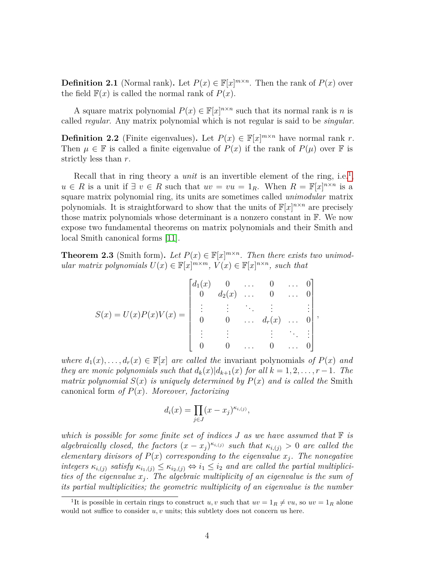**Definition 2.1** (Normal rank). Let  $P(x) \in \mathbb{F}[x]^{m \times n}$ . Then the rank of  $P(x)$  over the field  $\mathbb{F}(x)$  is called the normal rank of  $P(x)$ .

A square matrix polynomial  $P(x) \in \mathbb{F}[x]^{n \times n}$  such that its normal rank is *n* is called *regular*. Any matrix polynomial which is not regular is said to be *singular*.

**Definition 2.2** (Finite eigenvalues). Let  $P(x) \in \mathbb{F}[x]^{m \times n}$  have normal rank *r*. Then  $\mu \in \mathbb{F}$  is called a finite eigenvalue of  $P(x)$  if the rank of  $P(\mu)$  over  $\mathbb F$  is strictly less than *r*.

Recall that in ring theory a *unit* is an invertible element of the ring, i.e.<sup>[1](#page-4-0)</sup>,  $u \in R$  is a unit if  $\exists v \in R$  such that  $uv = vu = 1_R$ . When  $R = \mathbb{F}[x]^{n \times n}$  is a square matrix polynomial ring, its units are sometimes called *unimodular* matrix polynomials. It is straightforward to show that the units of  $\mathbb{F}[x]^{n \times n}$  are precisely those matrix polynomials whose determinant is a nonzero constant in F. We now expose two fundamental theorems on matrix polynomials and their Smith and local Smith canonical forms [\[11\]](#page-34-0).

**Theorem 2.3** (Smith form). Let  $P(x) \in \mathbb{F}[x]^{m \times n}$ . Then there exists two unimod*ular matrix polynomials*  $U(x) \in \mathbb{F}[x]^{m \times m}$ ,  $V(x) \in \mathbb{F}[x]^{n \times n}$ , such that

$$
S(x) = U(x)P(x)V(x) = \begin{bmatrix} d_1(x) & 0 & \dots & 0 & \dots & 0 \\ 0 & d_2(x) & \dots & 0 & \dots & 0 \\ \vdots & \vdots & \ddots & \vdots & \vdots & \vdots \\ 0 & 0 & \dots & d_r(x) & \dots & 0 \\ \vdots & \vdots & \ddots & \vdots & \ddots & \vdots \\ 0 & 0 & \dots & 0 & \dots & 0 \end{bmatrix},
$$

*where*  $d_1(x), \ldots, d_r(x) \in \mathbb{F}[x]$  *are called the* invariant polynomials *of*  $P(x)$  *and they are monic polynomials such that*  $d_k(x)|d_{k+1}(x)$  *for all*  $k = 1, 2, \ldots, r-1$ *. The matrix polynomial*  $S(x)$  *is uniquely determined by*  $P(x)$  *and is called the* Smith canonical form *of P*(*x*)*. Moreover, factorizing*

$$
d_i(x) = \prod_{j \in J} (x - x_j)^{\kappa_{i,(j)}},
$$

*which is possible for some finite set of indices J as we have assumed that* F *is algebraically closed, the factors*  $(x - x_j)^{\kappa_{i,(j)}}$  *such that*  $\kappa_{i,(j)} > 0$  *are called the elementary divisors of*  $P(x)$  *corresponding to the eigenvalue*  $x_i$ *. The nonegative integers*  $\kappa_{i,(j)}$  *satisfy*  $\kappa_{i_1,(j)} \leq \kappa_{i_2,(j)} \Leftrightarrow i_1 \leq i_2$  *and are called the partial multiplicities of the eigenvalue x<sup>j</sup> . The algebraic multiplicity of an eigenvalue is the sum of its partial multiplicities; the geometric multiplicity of an eigenvalue is the number*

<span id="page-4-0"></span><sup>&</sup>lt;sup>1</sup>It is possible in certain rings to construct *u, v* such that  $uv = 1_R \neq vu$ , so  $uv = 1_R$  alone would not suffice to consider *u*, *v* units; this subtlety does not concern us here.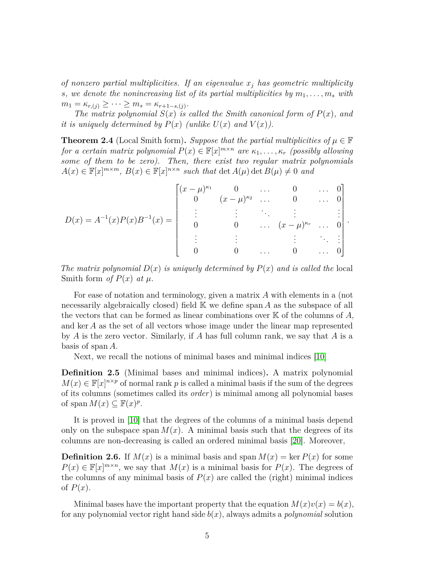*of nonzero partial multiplicities. If an eigenvalue x<sup>j</sup> has geometric multiplicity s*, we denote the nonincreasing list of its partial multiplicities by  $m_1, \ldots, m_s$  with  $m_1 = \kappa_{r,(j)} \geq \cdots \geq m_s = \kappa_{r+1-s,(j)}.$ 

*The matrix polynomial*  $S(x)$  *is called the Smith canonical form of*  $P(x)$ *, and it is uniquely determined by*  $P(x)$  (*unlike*  $U(x)$  *and*  $V(x)$ ).

**Theorem 2.4** (Local Smith form). Suppose that the partial multiplicities of  $\mu \in \mathbb{F}$ *for a certain matrix polynomial*  $P(x) \in \mathbb{F}[x]^{m \times n}$  *are*  $\kappa_1, \ldots, \kappa_r$  *(possibly allowing*) *some of them to be zero). Then, there exist two regular matrix polynomials*  $A(x) \in \mathbb{F}[x]^{m \times m}$ ,  $B(x) \in \mathbb{F}[x]^{n \times n}$  such that  $\det A(\mu) \det B(\mu) \neq 0$  and

$$
D(x) = A^{-1}(x)P(x)B^{-1}(x) = \begin{bmatrix} (x - \mu)^{\kappa_1} & 0 & \cdots & 0 & \cdots & 0 \\ 0 & (x - \mu)^{\kappa_2} & \cdots & 0 & \cdots & 0 \\ \vdots & \vdots & \ddots & \vdots & \ddots & \vdots \\ 0 & 0 & \cdots & (x - \mu)^{\kappa_r} & \cdots & 0 \\ \vdots & \vdots & \vdots & \ddots & \vdots \\ 0 & 0 & \cdots & 0 & \cdots & 0 \end{bmatrix}.
$$

*The matrix polynomial*  $D(x)$  *is uniquely determined by*  $P(x)$  *and is called the* local Smith form *of*  $P(x)$  *at*  $\mu$ *.* 

For ease of notation and terminology, given a matrix *A* with elements in a (not necessarily algebraically closed) field K we define span *A* as the subspace of all the vectors that can be formed as linear combinations over K of the columns of *A*, and ker *A* as the set of all vectors whose image under the linear map represented by *A* is the zero vector. Similarly, if *A* has full column rank, we say that *A* is a basis of span *A*.

Next, we recall the notions of minimal bases and minimal indices [\[10\]](#page-34-6)

**Definition 2.5** (Minimal bases and minimal indices)**.** A matrix polynomial  $M(x) \in \mathbb{F}[x]^{n \times p}$  of normal rank *p* is called a minimal basis if the sum of the degrees of its columns (sometimes called its *order*) is minimal among all polynomial bases of span  $M(x) \subseteq \mathbb{F}(x)^p$ .

It is proved in [\[10\]](#page-34-6) that the degrees of the columns of a minimal basis depend only on the subspace span  $M(x)$ . A minimal basis such that the degrees of its columns are non-decreasing is called an ordered minimal basis [\[20\]](#page-35-6). Moreover,

**Definition 2.6.** If  $M(x)$  is a minimal basis and span  $M(x) = \ker P(x)$  for some  $P(x) \in \mathbb{F}[x]^{m \times n}$ , we say that  $M(x)$  is a minimal basis for  $P(x)$ . The degrees of the columns of any minimal basis of  $P(x)$  are called the (right) minimal indices of  $P(x)$ .

Minimal bases have the important property that the equation  $M(x)v(x) = b(x)$ , for any polynomial vector right hand side *b*(*x*), always admits a *polynomial* solution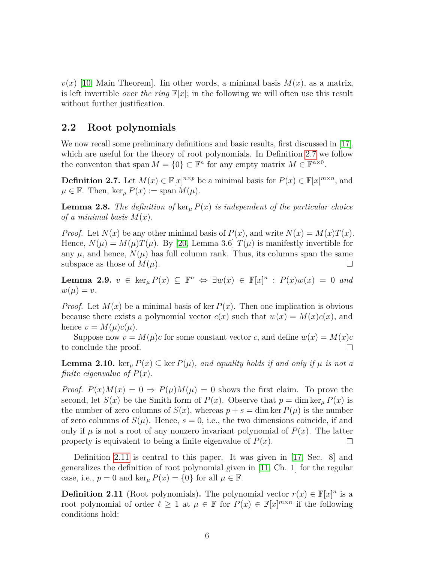$v(x)$  [\[10,](#page-34-6) Main Theorem]. Iin other words, a minimal basis  $M(x)$ , as a matrix, is left invertible *over the ring*  $\mathbb{F}[x]$ ; in the following we will often use this result without further justification.

#### **2.2 Root polynomials**

We now recall some preliminary definitions and basic results, first discussed in [\[17\]](#page-35-0), which are useful for the theory of root polynomials. In Definition [2.7](#page-6-0) we follow the conventon that span  $M = \{0\} \subset \mathbb{F}^n$  for any empty matrix  $M \in \mathbb{F}^{n \times 0}$ .

<span id="page-6-0"></span>**Definition 2.7.** Let  $M(x) \in \mathbb{F}[x]^{n \times p}$  be a minimal basis for  $P(x) \in \mathbb{F}[x]^{m \times n}$ , and  $\mu \in \mathbb{F}$ . Then,  $\ker_{\mu} P(x) := \text{span } M(\mu)$ .

**Lemma 2.8.** *The definition of*  $\ker_{\mu} P(x)$  *is independent of the particular choice of a minimal basis*  $M(x)$ .

*Proof.* Let  $N(x)$  be any other minimal basis of  $P(x)$ , and write  $N(x) = M(x)T(x)$ . Hence,  $N(\mu) = M(\mu)T(\mu)$ . By [\[20,](#page-35-6) Lemma 3.6]  $T(\mu)$  is manifestly invertible for any  $\mu$ , and hence,  $N(\mu)$  has full column rank. Thus, its columns span the same subspace as those of  $M(\mu)$ .  $\Box$ 

<span id="page-6-3"></span>**Lemma 2.9.**  $v \in \ker_{\mu} P(x) \subseteq \mathbb{F}^n \iff \exists w(x) \in \mathbb{F}[x]^n : P(x)w(x) = 0$  and  $w(\mu) = v.$ 

*Proof.* Let  $M(x)$  be a minimal basis of ker  $P(x)$ . Then one implication is obvious because there exists a polynomial vector  $c(x)$  such that  $w(x) = M(x)c(x)$ , and hence  $v = M(\mu)c(\mu)$ .

Suppose now  $v = M(\mu)c$  for some constant vector *c*, and define  $w(x) = M(x)c$ to conclude the proof. П

<span id="page-6-2"></span>**Lemma 2.10.** ker<sub>*u*</sub>  $P(x) \subseteq$  ker  $P(\mu)$ *, and equality holds if and only if*  $\mu$  *is not a finite eigenvalue of*  $P(x)$ *.* 

*Proof.*  $P(x)M(x) = 0 \Rightarrow P(\mu)M(\mu) = 0$  shows the first claim. To prove the second, let  $S(x)$  be the Smith form of  $P(x)$ . Observe that  $p = \dim \ker_{\mu} P(x)$  is the number of zero columns of  $S(x)$ , whereas  $p + s = \dim \ker P(\mu)$  is the number of zero columns of  $S(\mu)$ . Hence,  $s = 0$ , i.e., the two dimensions coincide, if and only if  $\mu$  is not a root of any nonzero invariant polynomial of  $P(x)$ . The latter property is equivalent to being a finite eigenvalue of  $P(x)$ .  $\Box$ 

Definition [2.11](#page-6-1) is central to this paper. It was given in [\[17,](#page-35-0) Sec. 8] and generalizes the definition of root polynomial given in [\[11,](#page-34-0) Ch. 1] for the regular case, i.e.,  $p = 0$  and  $\ker_{\mu} P(x) = \{0\}$  for all  $\mu \in \mathbb{F}$ .

<span id="page-6-1"></span>**Definition 2.11** (Root polynomials). The polynomial vector  $r(x) \in \mathbb{F}[x]^n$  is a root polynomial of order  $\ell \geq 1$  at  $\mu \in \mathbb{F}$  for  $P(x) \in \mathbb{F}[x]^{m \times n}$  if the following conditions hold: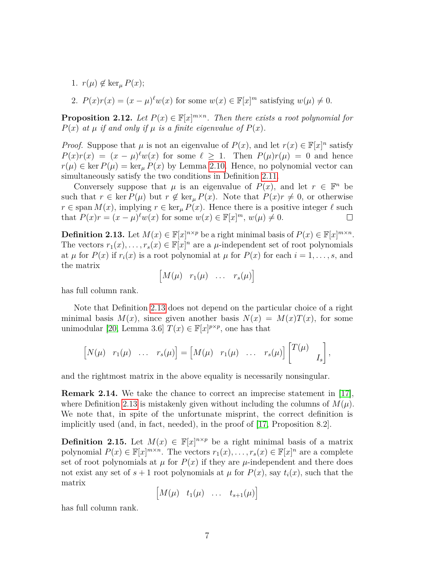- 1.  $r(\mu) \notin \ker_{\mu} P(x);$
- 2.  $P(x)r(x) = (x \mu)^{\ell}w(x)$  for some  $w(x) \in \mathbb{F}[x]^m$  satisfying  $w(\mu) \neq 0$ .

**Proposition 2.12.** Let  $P(x) \in \mathbb{F}[x]^{m \times n}$ . Then there exists a root polynomial for  $P(x)$  *at*  $\mu$  *if and only if*  $\mu$  *is a finite eigenvalue of*  $P(x)$ *.* 

*Proof.* Suppose that  $\mu$  is not an eigenvalue of  $P(x)$ , and let  $r(x) \in \mathbb{F}[x]^n$  satisfy  $P(x)r(x) = (x - \mu)^{\ell} w(x)$  for some  $\ell \geq 1$ . Then  $P(\mu)r(\mu) = 0$  and hence  $r(\mu) \in \text{ker } P(\mu) = \text{ker}_{\mu} P(x)$  by Lemma [2.10.](#page-6-2) Hence, no polynomial vector can simultaneously satisfy the two conditions in Definition [2.11.](#page-6-1)

Conversely suppose that  $\mu$  is an eigenvalue of  $P(x)$ , and let  $r \in \mathbb{F}^n$  be such that  $r \in \text{ker } P(\mu)$  but  $r \notin \text{ker}_{\mu} P(x)$ . Note that  $P(x)r \neq 0$ , or otherwise *r* ∈ span *M*(*x*), implying *r* ∈ ker<sub>*µ*</sub> *P*(*x*). Hence there is a positive integer  $\ell$  such that  $P(x)r = (x - \mu)^{\ell}w(x)$  for some  $w(x) \in \mathbb{F}[x]^m$ ,  $w(\mu) \neq 0$ .  $\Box$ 

<span id="page-7-0"></span>**Definition 2.13.** Let  $M(x) \in \mathbb{F}[x]^{n \times p}$  be a right minimal basis of  $P(x) \in \mathbb{F}[x]^{m \times n}$ . The vectors  $r_1(x), \ldots, r_s(x) \in \mathbb{F}[x]^n$  are a  $\mu$ -independent set of root polynomials at  $\mu$  for  $P(x)$  if  $r_i(x)$  is a root polynomial at  $\mu$  for  $P(x)$  for each  $i = 1, \ldots, s$ , and the matrix

$$
\begin{bmatrix} M(\mu) & r_1(\mu) & \dots & r_s(\mu) \end{bmatrix}
$$

has full column rank.

Note that Definition [2.13](#page-7-0) does not depend on the particular choice of a right minimal basis  $M(x)$ , since given another basis  $N(x) = M(x)T(x)$ , for some unimodular [\[20,](#page-35-6) Lemma 3.6]  $T(x) \in \mathbb{F}[x]^{p \times p}$ , one has that

$$
\begin{bmatrix} N(\mu) & r_1(\mu) & \dots & r_s(\mu) \end{bmatrix} = \begin{bmatrix} M(\mu) & r_1(\mu) & \dots & r_s(\mu) \end{bmatrix} \begin{bmatrix} T(\mu) \\ I_s \end{bmatrix},
$$

and the rightmost matrix in the above equality is necessarily nonsingular.

**Remark 2.14.** We take the chance to correct an imprecise statement in [\[17\]](#page-35-0), where Definition [2.13](#page-7-0) is mistakenly given without including the columns of  $M(\mu)$ . We note that, in spite of the unfortunate misprint, the correct definition is implicitly used (and, in fact, needed), in the proof of [\[17,](#page-35-0) Proposition 8.2].

<span id="page-7-1"></span>**Definition 2.15.** Let  $M(x) \in \mathbb{F}[x]^{n \times p}$  be a right minimal basis of a matrix polynomial  $P(x) \in \mathbb{F}[x]^{m \times n}$ . The vectors  $r_1(x), \ldots, r_s(x) \in \mathbb{F}[x]^n$  are a complete set of root polynomials at  $\mu$  for  $P(x)$  if they are  $\mu$ -independent and there does not exist any set of  $s + 1$  root polynomials at  $\mu$  for  $P(x)$ , say  $t_i(x)$ , such that the matrix

$$
\begin{bmatrix} M(\mu) & t_1(\mu) & \dots & t_{s+1}(\mu) \end{bmatrix}
$$

has full column rank.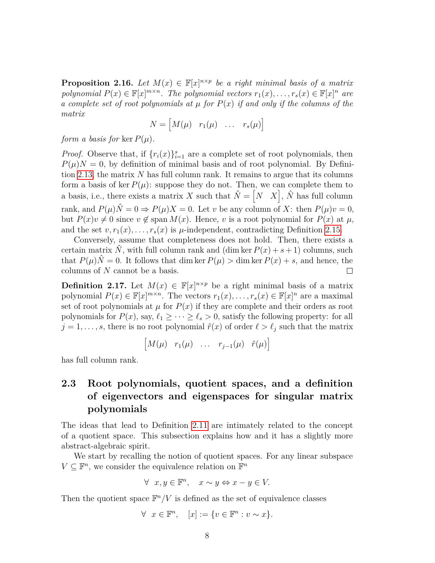<span id="page-8-1"></span>**Proposition 2.16.** *Let*  $M(x) \in \mathbb{F}[x]^{n \times p}$  *be a right minimal basis of a matrix polynomial*  $P(x) \in \mathbb{F}[x]^{m \times n}$ . The polynomial vectors  $r_1(x), \ldots, r_s(x) \in \mathbb{F}[x]^n$  are *a complete set of root polynomials at*  $\mu$  *for*  $P(x)$  *if and only if the columns of the matrix*

$$
N = \begin{bmatrix} M(\mu) & r_1(\mu) & \dots & r_s(\mu) \end{bmatrix}
$$

*form a basis for* ker  $P(\mu)$ .

*Proof.* Observe that, if  $\{r_i(x)\}_{i=1}^s$  are a complete set of root polynomials, then  $P(\mu)N = 0$ , by definition of minimal basis and of root polynomial. By Definition [2.13,](#page-7-0) the matrix *N* has full column rank. It remains to argue that its columns form a basis of ker  $P(\mu)$ : suppose they do not. Then, we can complete them to a basis, i.e., there exists a matrix *X* such that  $\hat{N} = \begin{bmatrix} N & X \end{bmatrix}$ ,  $\hat{N}$  has full column rank, and  $P(\mu)\hat{N} = 0 \Rightarrow P(\mu)X = 0$ . Let *v* be any column of *X*: then  $P(\mu)v = 0$ , but  $P(x)v \neq 0$  since  $v \notin \text{span } M(x)$ . Hence, *v* is a root polynomial for  $P(x)$  at  $\mu$ , and the set  $v, r_1(x), \ldots, r_s(x)$  is  $\mu$ -independent, contradicting Definition [2.15.](#page-7-1)

Conversely, assume that completeness does not hold. Then, there exists a certain matrix  $\hat{N}$ , with full column rank and (dim ker  $P(x) + s + 1$ ) columns, such that  $P(\mu)\hat{N}=0$ . It follows that dim ker  $P(\mu) > \dim \ker P(x) + s$ , and hence, the columns of *N* cannot be a basis.  $\Box$ 

<span id="page-8-2"></span>**Definition 2.17.** Let  $M(x) \in \mathbb{F}[x]^{n \times p}$  be a right minimal basis of a matrix polynomial  $P(x) \in \mathbb{F}[x]^{m \times n}$ . The vectors  $r_1(x), \ldots, r_s(x) \in \mathbb{F}[x]^n$  are a maximal set of root polynomials at  $\mu$  for  $P(x)$  if they are complete and their orders as root polynomials for  $P(x)$ , say,  $\ell_1 \geq \cdots \geq \ell_s > 0$ , satisfy the following property: for all  $j = 1, \ldots, s$ , there is no root polynomial  $\hat{r}(x)$  of order  $\ell > \ell_j$  such that the matrix

$$
\begin{bmatrix} M(\mu) & r_1(\mu) & \dots & r_{j-1}(\mu) & \hat{r}(\mu) \end{bmatrix}
$$

has full column rank.

## <span id="page-8-0"></span>**2.3 Root polynomials, quotient spaces, and a definition of eigenvectors and eigenspaces for singular matrix polynomials**

The ideas that lead to Definition [2.11](#page-6-1) are intimately related to the concept of a quotient space. This subsection explains how and it has a slightly more abstract-algebraic spirit.

We start by recalling the notion of quotient spaces. For any linear subspace  $V \subseteq \mathbb{F}^n$ , we consider the equivalence relation on  $\mathbb{F}^n$ 

$$
\forall x, y \in \mathbb{F}^n, \quad x \sim y \Leftrightarrow x - y \in V.
$$

Then the quotient space  $\mathbb{F}^n/V$  is defined as the set of equivalence classes

$$
\forall x \in \mathbb{F}^n, \quad [x] := \{ v \in \mathbb{F}^n : v \sim x \}.
$$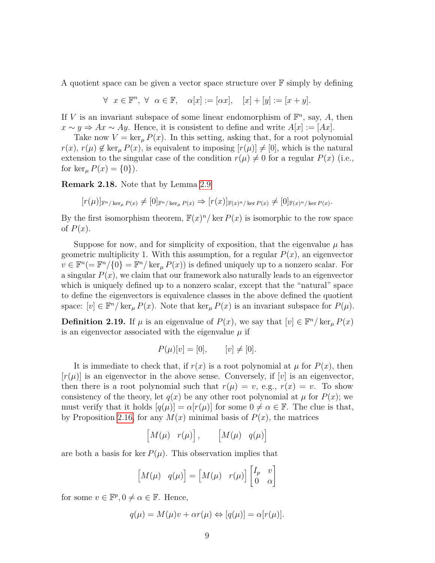A quotient space can be given a vector space structure over  $\mathbb F$  simply by defining

$$
\forall x \in \mathbb{F}^n, \ \forall \ \alpha \in \mathbb{F}, \quad \alpha[x] := [\alpha x], \quad [x] + [y] := [x + y].
$$

If *V* is an invariant subspace of some linear endomorphism of  $\mathbb{F}^n$ , say, *A*, then *x* ∼ *y*  $\Rightarrow$  *Ax* ∼ *Ay*. Hence, it is consistent to define and write  $A[x] := [Ax]$ .

Take now  $V = \ker_{\mu} P(x)$ . In this setting, asking that, for a root polynomial  $r(x)$ ,  $r(\mu) \notin \ker_{\mu} P(x)$ , is equivalent to imposing  $[r(\mu)] \neq [0]$ , which is the natural extension to the singular case of the condition  $r(\mu) \neq 0$  for a regular  $P(x)$  (i.e., for  $\ker_{\mu} P(x) = \{0\}$ .

**Remark 2.18.** Note that by Lemma [2.9](#page-6-3)

$$
[r(\mu)]_{\mathbb{F}^n/\ker_\mu P(x)} \neq [0]_{\mathbb{F}^n/\ker_\mu P(x)} \Rightarrow [r(x)]_{\mathbb{F}(x)^n/\ker P(x)} \neq [0]_{\mathbb{F}(x)^n/\ker P(x)}.
$$

By the first isomorphism theorem,  $\mathbb{F}(x)^n / \text{ker } P(x)$  is isomorphic to the row space of  $P(x)$ .

Suppose for now, and for simplicity of exposition, that the eigenvalue  $\mu$  has geometric multiplicity 1. With this assumption, for a regular  $P(x)$ , an eigenvector  $v \in \mathbb{F}^n (= \mathbb{F}^n / \{0\} = \mathbb{F}^n / \ker_\mu P(x)$  is defined uniquely up to a nonzero scalar. For a singular  $P(x)$ , we claim that our framework also naturally leads to an eigenvector which is uniquely defined up to a nonzero scalar, except that the "natural" space to define the eigenvectors is equivalence classes in the above defined the quotient space:  $[v] \in \mathbb{F}^n / \ker_\mu P(x)$ . Note that  $\ker_\mu P(x)$  is an invariant subspace for  $P(\mu)$ .

<span id="page-9-0"></span>**Definition 2.19.** If  $\mu$  is an eigenvalue of  $P(x)$ , we say that  $[v] \in \mathbb{F}^n / \ker_{\mu} P(x)$ is an eigenvector associated with the eigenvalue  $\mu$  if

$$
P(\mu)[v] = [0], \quad [v] \neq [0].
$$

It is immediate to check that, if  $r(x)$  is a root polynomial at  $\mu$  for  $P(x)$ , then  $[r(\mu)]$  is an eigenvector in the above sense. Conversely, if  $[v]$  is an eigenvector, then there is a root polynomial such that  $r(\mu) = v$ , e.g.,  $r(x) = v$ . To show consistency of the theory, let  $q(x)$  be any other root polynomial at  $\mu$  for  $P(x)$ ; we must verify that it holds  $[q(\mu)] = \alpha[r(\mu)]$  for some  $0 \neq \alpha \in \mathbb{F}$ . The clue is that, by Proposition [2.16,](#page-8-1) for any  $M(x)$  minimal basis of  $P(x)$ , the matrices

$$
\begin{bmatrix} M(\mu) & r(\mu) \end{bmatrix}, \qquad \begin{bmatrix} M(\mu) & q(\mu) \end{bmatrix}
$$

are both a basis for ker  $P(\mu)$ . This observation implies that

$$
\begin{bmatrix} M(\mu) & q(\mu) \end{bmatrix} = \begin{bmatrix} M(\mu) & r(\mu) \end{bmatrix} \begin{bmatrix} I_p & v \\ 0 & \alpha \end{bmatrix}
$$

for some  $v \in \mathbb{F}^p, 0 \neq \alpha \in \mathbb{F}$ . Hence,

$$
q(\mu) = M(\mu)v + \alpha r(\mu) \Leftrightarrow [q(\mu)] = \alpha[r(\mu)].
$$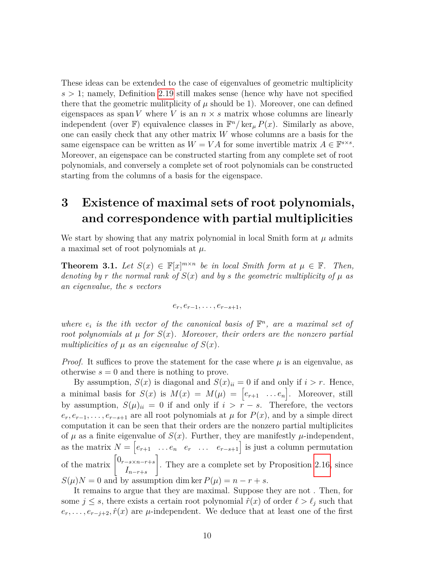These ideas can be extended to the case of eigenvalues of geometric multiplicity  $s > 1$ ; namely, Definition [2.19](#page-9-0) still makes sense (hence why have not specified there that the geometric mulitplicity of  $\mu$  should be 1). Moreover, one can defined eigenspaces as span *V* where *V* is an  $n \times s$  matrix whose columns are linearly independent (over  $\mathbb{F}$ ) equivalence classes in  $\mathbb{F}^n$ /ker<sub> $\mu$ </sub>  $P(x)$ . Similarly as above, one can easily check that any other matrix *W* whose columns are a basis for the same eigenspace can be written as  $W = VA$  for some invertible matrix  $A \in \mathbb{F}^{s \times s}$ . Moreover, an eigenspace can be constructed starting from any complete set of root polynomials, and conversely a complete set of root polynomials can be constructed starting from the columns of a basis for the eigenspace.

## <span id="page-10-0"></span>**3 Existence of maximal sets of root polynomials, and correspondence with partial multiplicities**

We start by showing that any matrix polynomial in local Smith form at  $\mu$  admits a maximal set of root polynomials at *µ*.

<span id="page-10-1"></span>**Theorem 3.1.** *Let*  $S(x) \in \mathbb{F}[x]^{m \times n}$  *be in local Smith form at*  $\mu \in \mathbb{F}$ *. Then, denoting by r the normal rank of*  $S(x)$  *and by s the geometric multiplicity of*  $\mu$  *as an eigenvalue, the s vectors*

$$
e_r,e_{r-1},\ldots,e_{r-s+1},
$$

where  $e_i$  *is the ith vector of the canonical basis of*  $\mathbb{F}^n$ *, are a maximal set of root polynomials at*  $\mu$  *for*  $S(x)$ *. Moreover, their orders are the nonzero partial multiplicities of*  $\mu$  *as an eigenvalue of*  $S(x)$ *.* 

*Proof.* It suffices to prove the statement for the case where  $\mu$  is an eigenvalue, as otherwise  $s = 0$  and there is nothing to prove.

By assumption,  $S(x)$  is diagonal and  $S(x)_{ii} = 0$  if and only if  $i > r$ . Hence, a minimal basis for  $S(x)$  is  $M(x) = M(\mu) = [e_{r+1} \dots e_n]$ . Moreover, still by assumption,  $S(\mu)_{ii} = 0$  if and only if  $i > r - s$ . Therefore, the vectors  $e_r, e_{r-1}, \ldots, e_{r-s+1}$  are all root polynomials at  $\mu$  for  $P(x)$ , and by a simple direct computation it can be seen that their orders are the nonzero partial multiplicites of  $\mu$  as a finite eigenvalue of  $S(x)$ . Further, they are manifestly  $\mu$ -independent, as the matrix  $N = \begin{bmatrix} e_{r+1} & \dots & e_n & e_r & \dots & e_{r-s+1} \end{bmatrix}$  is just a column permutation of the matrix  $\begin{bmatrix} 0_{r-s \times n-r+s} \\ r \end{bmatrix}$ *In*−*r*+*<sup>s</sup>* 1 . They are a complete set by Proposition [2.16,](#page-8-1) since  $S(\mu)N = 0$  and by assumption dim ker  $P(\mu) = n - r + s$ .

It remains to argue that they are maximal. Suppose they are not . Then, for some  $j \leq s$ , there exists a certain root polynomial  $\hat{r}(x)$  of order  $\ell > \ell_j$  such that  $e_r, \ldots, e_{r-j+2}, \hat{r}(x)$  are  $\mu$ -independent. We deduce that at least one of the first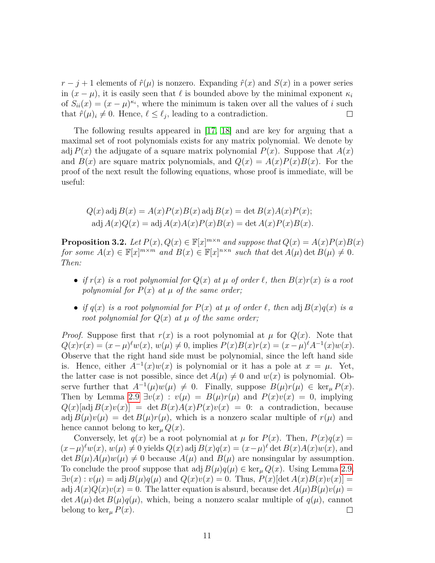$r - j + 1$  elements of  $\hat{r}(\mu)$  is nonzero. Expanding  $\hat{r}(x)$  and  $S(x)$  in a power series in  $(x - \mu)$ , it is easily seen that  $\ell$  is bounded above by the minimal exponent  $\kappa_i$ of  $S_{ii}(x) = (x - \mu)^{\kappa_i}$ , where the minimum is taken over all the values of *i* such that  $\hat{r}(\mu)_i \neq 0$ . Hence,  $\ell \leq \ell_j$ , leading to a contradiction.  $\Box$ 

The following results appeared in [\[17,](#page-35-0) [18\]](#page-35-2) and are key for arguing that a maximal set of root polynomials exists for any matrix polynomial. We denote by adj  $P(x)$  the adjugate of a square matrix polynomial  $P(x)$ . Suppose that  $A(x)$ and  $B(x)$  are square matrix polynomials, and  $Q(x) = A(x)P(x)B(x)$ . For the proof of the next result the following equations, whose proof is immediate, will be useful:

$$
Q(x) \text{ adj } B(x) = A(x)P(x)B(x) \text{ adj } B(x) = \det B(x)A(x)P(x);
$$
  
adj 
$$
A(x)Q(x) = \text{adj } A(x)A(x)P(x)B(x) = \det A(x)P(x)B(x).
$$

<span id="page-11-0"></span>**Proposition 3.2.** *Let*  $P(x)$ *,*  $Q(x) \in \mathbb{F}[x]^{m \times n}$  *and suppose that*  $Q(x) = A(x)P(x)B(x)$ *for some*  $A(x) \in \mathbb{F}[x]^{m \times m}$  *and*  $B(x) \in \mathbb{F}[x]^{n \times n}$  *such that* det  $A(\mu)$  det  $B(\mu) \neq 0$ *. Then:*

- *if*  $r(x)$  *is a root polynomial for*  $Q(x)$  *at*  $\mu$  *of order*  $\ell$ *, then*  $B(x)r(x)$  *is a root polynomial for*  $P(x)$  *at*  $\mu$  *of the same order;*
- *if*  $q(x)$  *is a root polynomial for*  $P(x)$  *at*  $\mu$  *of order*  $\ell$ *, then* adj  $B(x)q(x)$  *is a root polynomial for*  $Q(x)$  *at*  $\mu$  *of the same order;*

*Proof.* Suppose first that  $r(x)$  is a root polynomial at  $\mu$  for  $Q(x)$ . Note that  $Q(x)r(x) = (x - \mu)^{\ell} w(x), w(\mu) \neq 0$ , implies  $P(x)B(x)r(x) = (x - \mu)^{\ell} A^{-1}(x)w(x)$ . Observe that the right hand side must be polynomial, since the left hand side is. Hence, either  $A^{-1}(x)w(x)$  is polynomial or it has a pole at  $x = \mu$ . Yet, the latter case is not possible, since  $\det A(\mu) \neq 0$  and  $w(x)$  is polynomial. Observe further that  $A^{-1}(\mu)w(\mu) \neq 0$ . Finally, suppose  $B(\mu)r(\mu) \in \ker_{\mu} P(x)$ . Then by Lemma [2.9](#page-6-3)  $\exists v(x) : v(\mu) = B(\mu)r(\mu)$  and  $P(x)v(x) = 0$ , implying  $Q(x)[\text{adj }B(x)v(x)] = \det B(x)A(x)P(x)v(x) = 0$ : a contradiction, because adj  $B(\mu)v(\mu) = \det B(\mu)r(\mu)$ , which is a nonzero scalar multiple of  $r(\mu)$  and hence cannot belong to  $\ker_{\mu} Q(x)$ .

Conversely, let  $q(x)$  be a root polynomial at  $\mu$  for  $P(x)$ . Then,  $P(x)q(x) =$  $(x-\mu)^{\ell}w(x), w(\mu) \neq 0$  yields  $Q(x)$  adj  $B(x)q(x) = (x-\mu)^{\ell}$  det  $B(x)A(x)w(x)$ , and det  $B(\mu)A(\mu)w(\mu) \neq 0$  because  $A(\mu)$  and  $B(\mu)$  are nonsingular by assumption. To conclude the proof suppose that adj  $B(\mu)q(\mu) \in \ker_{\mu} Q(x)$ . Using Lemma [2.9,](#page-6-3)  $\exists v(x): v(\mu) = \text{adj } B(\mu)q(\mu)$  and  $Q(x)v(x) = 0$ . Thus,  $P(x)[\text{det } A(x)B(x)v(x)] = 0$ adj  $A(x)Q(x)v(x) = 0$ . The latter equation is absurd, because det  $A(\mu)B(\mu)v(\mu) = 0$ . det  $A(\mu)$  det  $B(\mu)q(\mu)$ , which, being a nonzero scalar multiple of  $q(\mu)$ , cannot belong to ker<sub> $\mu$ </sub>  $P(x)$ .  $\Box$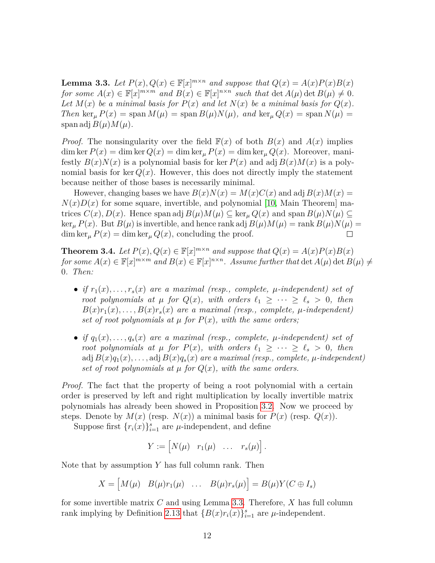<span id="page-12-0"></span>**Lemma 3.3.** *Let*  $P(x)$ ,  $Q(x) \in \mathbb{F}[x]^{m \times n}$  *and suppose that*  $Q(x) = A(x)P(x)B(x)$ *for some*  $A(x) \in \mathbb{F}[x]^{m \times m}$  *and*  $B(x) \in \mathbb{F}[x]^{n \times n}$  *such that* det  $A(\mu)$  det  $B(\mu) \neq 0$ *.* Let  $M(x)$  be a minimal basis for  $P(x)$  and let  $N(x)$  be a minimal basis for  $Q(x)$ . *Then* ker<sub>*u*</sub>  $P(x) = \text{span } M(\mu) = \text{span } B(\mu)N(\mu)$ , and ker<sub>*u*</sub>  $Q(x) = \text{span } N(\mu) =$ span adj  $B(\mu)M(\mu)$ .

*Proof.* The nonsingularity over the field  $\mathbb{F}(x)$  of both  $B(x)$  and  $A(x)$  implies dim ker  $P(x) = \dim \ker Q(x) = \dim \ker_{\mu} P(x) = \dim \ker_{\mu} Q(x)$ . Moreover, manifestly  $B(x)N(x)$  is a polynomial basis for ker  $P(x)$  and adj  $B(x)M(x)$  is a polynomial basis for ker  $Q(x)$ . However, this does not directly imply the statement because neither of those bases is necessarily minimal.

However, changing bases we have  $B(x)N(x) = M(x)C(x)$  and adj  $B(x)M(x) =$  $N(x)D(x)$  for some square, invertible, and polynomial [\[10,](#page-34-6) Main Theorem] matrices  $C(x)$ ,  $D(x)$ . Hence span adj  $B(\mu)M(\mu) \subseteq \ker_{\mu} Q(x)$  and span  $B(\mu)N(\mu) \subseteq$  $\ker_{\mu} P(x)$ . But  $B(\mu)$  is invertible, and hence rank adj  $B(\mu)M(\mu) = \operatorname{rank} B(\mu)N(\mu) =$  $\dim \ker_{\mu} P(x) = \dim \ker_{\mu} Q(x)$ , concluding the proof.  $\Box$ 

<span id="page-12-1"></span>**Theorem 3.4.** *Let*  $P(x)$ *,*  $Q(x) \in \mathbb{F}[x]^{m \times n}$  *and suppose that*  $Q(x) = A(x)P(x)B(x)$ *for some*  $A(x) \in \mathbb{F}[x]^{m \times m}$  *and*  $B(x) \in \mathbb{F}[x]^{n \times n}$ . Assume further that  $\det A(\mu) \det B(\mu) \neq 0$ 0*. Then:*

- *if*  $r_1(x), \ldots, r_s(x)$  are a maximal (resp., complete,  $\mu$ -independent) set of *root polynomials at*  $\mu$  *for*  $Q(x)$ *, with orders*  $\ell_1 \geq \cdots \geq \ell_s > 0$ *, then*  $B(x)r_1(x), \ldots, B(x)r_s(x)$  are a maximal (resp., complete,  $\mu$ -independent) *set of root polynomials at*  $\mu$  *for*  $P(x)$ *, with the same orders;*
- *if*  $q_1(x), \ldots, q_s(x)$  are a maximal (resp., complete,  $\mu$ -independent) set of *root polynomials at*  $\mu$  *for*  $P(x)$ *, with orders*  $\ell_1 \geq \cdots \geq \ell_s > 0$ *, then* adj  $B(x)q_1(x), \ldots$ , adj  $B(x)q_s(x)$  are a maximal (resp., complete,  $\mu$ -independent) *set of root polynomials at*  $\mu$  *for*  $Q(x)$ *, with the same orders.*

*Proof.* The fact that the property of being a root polynomial with a certain order is preserved by left and right multiplication by locally invertible matrix polynomials has already been showed in Proposition [3.2.](#page-11-0) Now we proceed by steps. Denote by  $M(x)$  (resp.  $N(x)$ ) a minimal basis for  $P(x)$  (resp.  $Q(x)$ ).

Suppose first  $\{r_i(x)\}_{i=1}^s$  are  $\mu$ -independent, and define

$$
Y := [N(\mu) \quad r_1(\mu) \quad \dots \quad r_s(\mu)].
$$

Note that by assumption *Y* has full column rank. Then

$$
X = [M(\mu) \quad B(\mu)r_1(\mu) \quad \dots \quad B(\mu)r_s(\mu)] = B(\mu)Y(C \oplus I_s)
$$

for some invertible matrix *C* and using Lemma [3.3.](#page-12-0) Therefore, *X* has full column rank implying by Definition [2.13](#page-7-0) that  ${B(x)r_i(x)}_{i=1}^s$  are  $\mu$ -independent.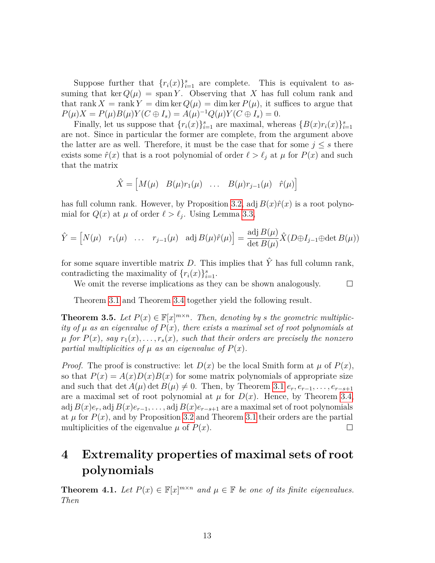Suppose further that  $\{r_i(x)\}_{i=1}^s$  are complete. This is equivalent to assuming that ker  $Q(\mu) = \text{span } Y$ . Observing that X has full colum rank and that rank  $X = \text{rank } Y = \dim \ker Q(\mu) = \dim \ker P(\mu)$ , it suffices to argue that  $P(\mu)X = P(\mu)B(\mu)Y(C \oplus I_s) = A(\mu)^{-1}Q(\mu)Y(C \oplus I_s) = 0.$ 

Finally, let us suppose that  $\{r_i(x)\}_{i=1}^s$  are maximal, whereas  $\{B(x)r_i(x)\}_{i=1}^s$ are not. Since in particular the former are complete, from the argument above the latter are as well. Therefore, it must be the case that for some  $j \leq s$  there exists some  $\hat{r}(x)$  that is a root polynomial of order  $\ell > \ell_j$  at  $\mu$  for  $P(x)$  and such that the matrix

$$
\hat{X} = \begin{bmatrix} M(\mu) & B(\mu)r_1(\mu) & \dots & B(\mu)r_{j-1}(\mu) & \hat{r}(\mu) \end{bmatrix}
$$

has full column rank. However, by Proposition [3.2,](#page-11-0) adj  $B(x)\hat{r}(x)$  is a root polynomial for  $Q(x)$  at  $\mu$  of order  $\ell > \ell_j$ . Using Lemma [3.3,](#page-12-0)

$$
\hat{Y} = \begin{bmatrix} N(\mu) & r_1(\mu) & \dots & r_{j-1}(\mu) & \text{adj } B(\mu)\hat{r}(\mu) \end{bmatrix} = \frac{\text{adj } B(\mu)}{\det B(\mu)} \hat{X}(D \oplus I_{j-1} \oplus \det B(\mu))
$$

for some square invertible matrix  $D$ . This implies that  $\hat{Y}$  has full column rank, contradicting the maximality of  $\{r_i(x)\}_{i=1}^s$ .

We omit the reverse implications as they can be shown analogously.

 $\Box$ 

Theorem [3.1](#page-10-1) and Theorem [3.4](#page-12-1) together yield the following result.

<span id="page-13-1"></span>**Theorem 3.5.** Let  $P(x) \in \mathbb{F}[x]^{m \times n}$ . Then, denoting by *s* the geometric multiplic*ity of*  $\mu$  *as an eigenvalue of*  $P(x)$ *, there exists a maximal set of root polynomials at*  $\mu$  *for*  $P(x)$ *, say*  $r_1(x), \ldots, r_s(x)$ *, such that their orders are precisely the nonzero partial multiplicities of*  $\mu$  *as an eigenvalue of*  $P(x)$ *.* 

*Proof.* The proof is constructive: let  $D(x)$  be the local Smith form at  $\mu$  of  $P(x)$ , so that  $P(x) = A(x)D(x)B(x)$  for some matrix polynomials of appropriate size and such that det  $A(\mu)$  det  $B(\mu) \neq 0$ . Then, by Theorem [3.1](#page-10-1)  $e_r, e_{r-1}, \ldots, e_{r-s+1}$ are a maximal set of root polynomial at  $\mu$  for  $D(x)$ . Hence, by Theorem [3.4,](#page-12-1) adj  $B(x)e_r$ , adj  $B(x)e_{r-1}, \ldots$ , adj  $B(x)e_{r-s+1}$  are a maximal set of root polynomials at  $\mu$  for  $P(x)$ , and by Proposition [3.2](#page-11-0) and Theorem [3.1](#page-10-1) their orders are the partial multiplicities of the eigenvalue  $\mu$  of  $P(x)$ .  $\Box$ 

## <span id="page-13-0"></span>**4 Extremality properties of maximal sets of root polynomials**

<span id="page-13-2"></span>**Theorem 4.1.** *Let*  $P(x) \in \mathbb{F}[x]^{m \times n}$  *and*  $\mu \in \mathbb{F}$  *be one of its finite eigenvalues. Then*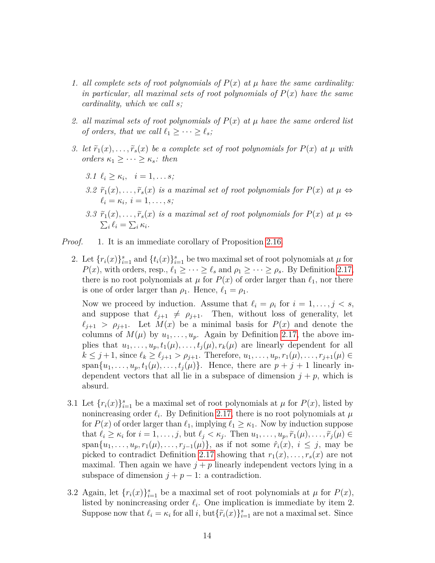- 1. all complete sets of root polynomials of  $P(x)$  at  $\mu$  have the same cardinality: *in particular, all maximal sets of root polynomials of*  $P(x)$  *have the same cardinality, which we call s;*
- 2. *all maximal sets of root polynomials of*  $P(x)$  *at*  $\mu$  *have the same ordered list of orders, that we call*  $\ell_1 \geq \cdots \geq \ell_s$ ;
- *3. let*  $\tilde{r}_1(x), \ldots, \tilde{r}_s(x)$  *be a complete set of root polynomials for*  $P(x)$  *at*  $\mu$  *with*  $orders \kappa_1 \geq \cdots \geq \kappa_s$ *: then* 
	- *3.1*  $\ell_i \geq \kappa_i, \quad i = 1, \ldots s;$
	- 3.2  $\tilde{r}_1(x), \ldots, \tilde{r}_s(x)$  *is a maximal set of root polynomials for*  $P(x)$  *at*  $\mu \Leftrightarrow$  $\ell_i = \kappa_i, i = 1, \ldots, s$ *;*
	- 3.3  $\tilde{r}_1(x), \ldots, \tilde{r}_s(x)$  *is a maximal set of root polynomials for*  $P(x)$  *at*  $\mu \Leftrightarrow$  $\sum_i \ell_i = \sum_i \kappa_i$ .

*Proof.* 1. It is an immediate corollary of Proposition [2.16.](#page-8-1)

2. Let  $\{r_i(x)\}_{i=1}^s$  and  $\{t_i(x)\}_{i=1}^s$  be two maximal set of root polynomials at  $\mu$  for *P*(*x*), with orders, resp.,  $\ell_1 \geq \cdots \geq \ell_s$  and  $\rho_1 \geq \cdots \geq \rho_s$ . By Definition [2.17,](#page-8-2) there is no root polynomials at  $\mu$  for  $P(x)$  of order larger than  $\ell_1$ , nor there is one of order larger than  $\rho_1$ . Hence,  $\ell_1 = \rho_1$ .

Now we proceed by induction. Assume that  $\ell_i = \rho_i$  for  $i = 1, \ldots, j < s$ , and suppose that  $\ell_{j+1} \neq \rho_{j+1}$ . Then, without loss of generality, let  $\ell_{j+1}$  *>*  $\rho_{j+1}$ *.* Let  $M(x)$  be a minimal basis for  $P(x)$  and denote the columns of  $M(\mu)$  by  $u_1, \ldots, u_p$ . Again by Definition [2.17,](#page-8-2) the above implies that  $u_1, \ldots, u_p, t_1(\mu), \ldots, t_i(\mu), r_k(\mu)$  are linearly dependent for all  $k \leq j+1$ , since  $\ell_k \geq \ell_{j+1} > \rho_{j+1}$ . Therefore,  $u_1, \ldots, u_p, r_1(\mu), \ldots, r_{j+1}(\mu) \in$ span $\{u_1, \ldots, u_p, t_1(\mu), \ldots, t_j(\mu)\}\$ . Hence, there are  $p + j + 1$  linearly independent vectors that all lie in a subspace of dimension  $j + p$ , which is absurd.

- 3.1 Let  $\{r_i(x)\}_{i=1}^s$  be a maximal set of root polynomials at  $\mu$  for  $P(x)$ , listed by nonincreasing order  $\ell_i$ . By Definition [2.17,](#page-8-2) there is no root polynomials at  $\mu$ for  $P(x)$  of order larger than  $\ell_1$ , implying  $\ell_1 \geq \kappa_1$ . Now by induction suppose that  $\ell_i \geq \kappa_i$  for  $i = 1, \ldots, j$ , but  $\ell_j < \kappa_j$ . Then  $u_1, \ldots, u_p, \widetilde{r}_1(\mu), \ldots, \widetilde{r}_j(\mu) \in$ span $\{u_1, \ldots, u_p, r_1(\mu), \ldots, r_{j-1}(\mu)\}\$ , as if not some  $\hat{r}_i(x), i \leq j$ , may be picked to contradict Definition [2.17](#page-8-2) showing that  $r_1(x), \ldots, r_s(x)$  are not maximal. Then again we have  $j + p$  linearly independent vectors lying in a subspace of dimension  $j + p - 1$ : a contradiction.
- 3.2 Again, let  $\{r_i(x)\}_{i=1}^s$  be a maximal set of root polynomials at  $\mu$  for  $P(x)$ , listed by nonincreasing order  $\ell_i$ . One implication is immediate by item 2. Suppose now that  $\ell_i = \kappa_i$  for all *i*, but  $\{\tilde{r}_i(x)\}_{i=1}^s$  are not a maximal set. Since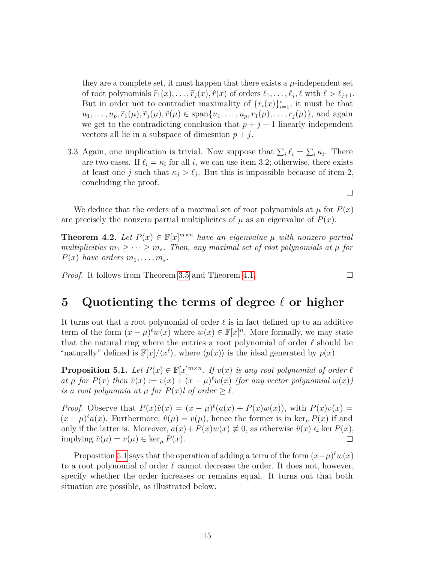they are a complete set, it must happen that there exists a  $\mu$ -independent set of root polynomials  $\tilde{r}_1(x), \ldots, \tilde{r}_j(x), \hat{r}(x)$  of orders  $\ell_1, \ldots, \ell_j, \ell$  with  $\ell > \ell_{j+1}$ . But in order not to contradict maximality of  $\{r_i(x)\}_{i=1}^s$ , it must be that  $u_1, \ldots, u_p, \tilde{r}_1(\mu), \tilde{r}_i(\mu), \hat{r}(\mu) \in \text{span}\{u_1, \ldots, u_p, r_1(\mu), \ldots, r_i(\mu)\}\$ , and again we get to the contradicting conclusion that  $p + j + 1$  linearly independent vectors all lie in a subspace of dimesnion  $p + j$ .

3.3 Again, one implication is trivial. Now suppose that  $\sum_{i} \ell_i = \sum_{i} \kappa_i$ . There are two cases. If  $\ell_i = \kappa_i$  for all *i*, we can use item 3.2; otherwise, there exists at least one *j* such that  $\kappa_j > \ell_j$ . But this is impossible because of item 2, concluding the proof.

We deduce that the orders of a maximal set of root polynomials at  $\mu$  for  $P(x)$ are precisely the nonzero partial multiplicites of  $\mu$  as an eigenvalue of  $P(x)$ .

<span id="page-15-2"></span>**Theorem 4.2.** Let  $P(x) \in \mathbb{F}[x]^{m \times n}$  have an eigenvalue  $\mu$  with nonzero partial *multiplicities*  $m_1 \geq \cdots \geq m_s$ . Then, any maximal set of root polynomials at  $\mu$  for  $P(x)$  *have orders*  $m_1, \ldots, m_s$ *.* 

*Proof.* It follows from Theorem [3.5](#page-13-1) and Theorem [4.1.](#page-13-2)

## <span id="page-15-0"></span>**5** Quotienting the terms of degree  $\ell$  or higher

It turns out that a root polynomial of order  $\ell$  is in fact defined up to an additive term of the form  $(x - \mu)^{\ell} w(x)$  where  $w(x) \in \mathbb{F}[x]^n$ . More formally, we may state that the natural ring where the entries a root polynomial of order  $\ell$  should be "naturally" defined is  $\mathbb{F}[x]/\langle x^{\ell} \rangle$ , where  $\langle p(x) \rangle$  is the ideal generated by  $p(x)$ .

<span id="page-15-1"></span>**Proposition 5.1.** Let  $P(x) \in \mathbb{F}[x]^{m \times n}$ . If  $v(x)$  is any root polynomial of order  $\ell$  $a$ *t*  $\mu$  *for*  $P(x)$  *then*  $\hat{v}(x) := v(x) + (x - \mu)^{\ell} w(x)$  *(for any vector polynomial*  $w(x)$ *) is a root polynomia at*  $\mu$  *for*  $P(x)$ *l of order*  $\geq \ell$ *.* 

*Proof.* Observe that  $P(x)\hat{v}(x) = (x - \mu)^{\ell}(a(x) + P(x)w(x))$ , with  $P(x)v(x) =$  $(x - \mu)^{\ell} a(x)$ . Furthermore,  $\hat{v}(\mu) = v(\mu)$ , hence the former is in ker<sub> $\mu$ </sub> *P*(*x*) if and only if the latter is. Moreover,  $a(x) + P(x)w(x) \neq 0$ , as otherwise  $\hat{v}(x) \in \text{ker } P(x)$ ,  $\text{implying } \hat{v}(\mu) = v(\mu) \in \ker_{\mu} P(x).$  $\Box$ 

Proposition [5.1](#page-15-1) says that the operation of adding a term of the form  $(x-\mu)^{\ell}w(x)$ to a root polynomial of order  $\ell$  cannot decrease the order. It does not, however, specify whether the order increases or remains equal. It turns out that both situation are possible, as illustrated below.

15

 $\Box$ 

 $\Box$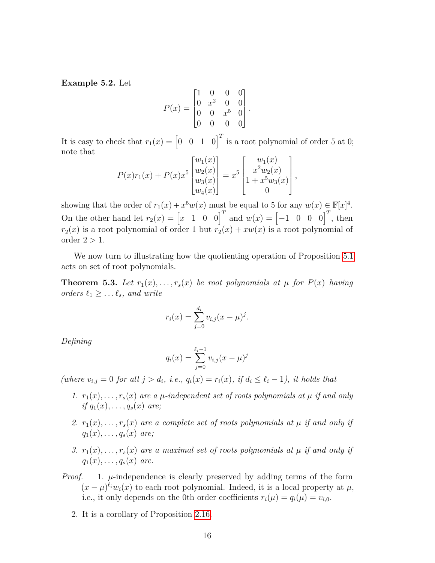**Example 5.2.** Let

$$
P(x) = \begin{bmatrix} 1 & 0 & 0 & 0 \\ 0 & x^2 & 0 & 0 \\ 0 & 0 & x^5 & 0 \\ 0 & 0 & 0 & 0 \end{bmatrix}.
$$

It is easy to check that  $r_1(x) = \begin{bmatrix} 0 & 0 & 1 & 0 \end{bmatrix}^T$  is a root polynomial of order 5 at 0; note that

$$
P(x)r_1(x) + P(x)x^5 \begin{bmatrix} w_1(x) \\ w_2(x) \\ w_3(x) \\ w_4(x) \end{bmatrix} = x^5 \begin{bmatrix} w_1(x) \\ x^2w_2(x) \\ 1 + x^5w_3(x) \\ 0 \end{bmatrix},
$$

showing that the order of  $r_1(x) + x^5w(x)$  must be equal to 5 for any  $w(x) \in \mathbb{F}[x]^4$ . On the other hand let  $r_2(x) = \begin{bmatrix} x & 1 & 0 & 0 \end{bmatrix}^T$  and  $w(x) = \begin{bmatrix} -1 & 0 & 0 & 0 \end{bmatrix}^T$ , then  $r_2(x)$  is a root polynomial of order 1 but  $r_2(x) + xw(x)$  is a root polynomial of order  $2 > 1$ .

We now turn to illustrating how the quotienting operation of Proposition [5.1](#page-15-1) acts on set of root polynomials.

<span id="page-16-0"></span>**Theorem 5.3.** Let  $r_1(x), \ldots, r_s(x)$  be root polynomials at  $\mu$  for  $P(x)$  having *orders*  $\ell_1 \geq \ldots \ell_s$ *, and write* 

$$
r_i(x) = \sum_{j=0}^{d_i} v_{i,j}(x - \mu)^j.
$$

*Defining*

$$
q_i(x) = \sum_{j=0}^{\ell_i - 1} v_{i,j}(x - \mu)^j
$$

 $(m \text{ here } v_{i,j} = 0 \text{ for all } j > d_i, \text{ i.e., } q_i(x) = r_i(x), \text{ if } d_i \leq \ell_i - 1$ , it holds that

- 1.  $r_1(x), \ldots, r_s(x)$  are a  $\mu$ -independent set of roots polynomials at  $\mu$  if and only *if*  $q_1(x), \ldots, q_s(x)$  *are;*
- 2.  $r_1(x), \ldots, r_s(x)$  are a complete set of roots polynomials at  $\mu$  *if and only if*  $q_1(x), \ldots, q_s(x)$  *are;*
- *3.*  $r_1(x), \ldots, r_s(x)$  are a maximal set of roots polynomials at  $\mu$  if and only if  $q_1(x), \ldots, q_s(x)$  *are.*
- *Proof.* 1.  $\mu$ -independence is clearly preserved by adding terms of the form  $(x - \mu)^{\ell_i} w_i(x)$  to each root polynomial. Indeed, it is a local property at  $\mu$ , i.e., it only depends on the 0th order coefficients  $r_i(\mu) = q_i(\mu) = v_{i,0}$ .
	- 2. It is a corollary of Proposition [2.16.](#page-8-1)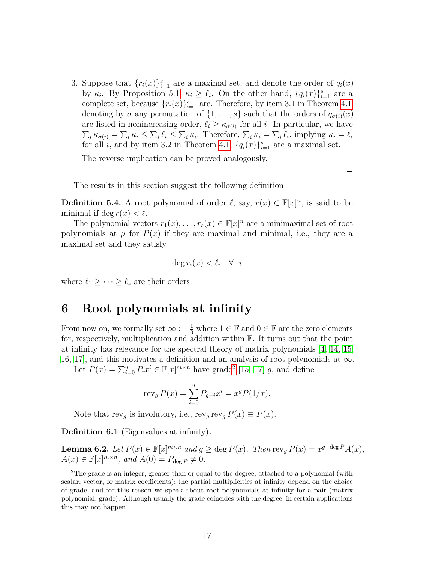3. Suppose that  $\{r_i(x)\}_{i=1}^s$  are a maximal set, and denote the order of  $q_i(x)$ by  $\kappa_i$ . By Proposition [5.1,](#page-15-1)  $\kappa_i \geq \ell_i$ . On the other hand,  $\{q_i(x)\}_{i=1}^s$  are a complete set, because  $\{r_i(x)\}_{i=1}^s$  are. Therefore, by item 3.1 in Theorem [4.1,](#page-13-2) denoting by  $\sigma$  any permutation of  $\{1, \ldots, s\}$  such that the orders of  $q_{\sigma(i)}(x)$ are listed in nonincreasing order,  $\ell_i \geq \kappa_{\sigma(i)}$  for all *i*. In particular, we have  $\sum_i \kappa_{\sigma(i)} = \sum_i \kappa_i \leq \sum_i \ell_i \leq \sum_i \kappa_i$ . Therefore,  $\sum_i \kappa_i = \sum_i \ell_i$ , implying  $\kappa_i = \ell_i$ for all *i*, and by item 3.2 in Theorem [4.1,](#page-13-2)  $\{q_i(x)\}_{i=1}^s$  are a maximal set.

The reverse implication can be proved analogously.

 $\Box$ 

The results in this section suggest the following definition

<span id="page-17-3"></span>**Definition 5.4.** A root polynomial of order  $\ell$ , say,  $r(x) \in \mathbb{F}[x]^n$ , is said to be minimal if deg  $r(x) < l$ .

The polynomial vectors  $r_1(x), \ldots, r_s(x) \in \mathbb{F}[x]^n$  are a minimaximal set of root polynomials at  $\mu$  for  $P(x)$  if they are maximal and minimal, i.e., they are a maximal set and they satisfy

$$
\deg r_i(x) < \ell_i \quad \forall \quad i
$$

where  $\ell_1 \geq \cdots \geq \ell_s$  are their orders.

## <span id="page-17-0"></span>**6 Root polynomials at infinity**

From now on, we formally set  $\infty := \frac{1}{0}$  where  $1 \in \mathbb{F}$  and  $0 \in \mathbb{F}$  are the zero elements for, respectively, multiplication and addition within  $\mathbb{F}$ . It turns out that the point at infinity has relevance for the spectral theory of matrix polynomials [\[4,](#page-34-3) [14,](#page-35-3) [15,](#page-35-1) [16,](#page-35-4) [17\]](#page-35-0), and this motivates a definition and an analysis of root polynomials at  $\infty$ .

Let  $P(x) = \sum_{i=0}^{g} P_i x^i \in \mathbb{F}[x]^{m \times n}$  have grade<sup>[2](#page-17-1)</sup> [\[15,](#page-35-1) [17\]](#page-35-0) *g*, and define

$$
revg P(x) = \sum_{i=0}^{g} P_{g-i} x^{i} = x^{g} P(1/x).
$$

Note that  $\text{rev}_g$  is involutory, i.e.,  $\text{rev}_g \text{rev}_g P(x) \equiv P(x)$ .

**Definition 6.1** (Eigenvalues at infinity)**.**

<span id="page-17-2"></span>**Lemma 6.2.** Let  $P(x) \in \mathbb{F}[x]^{m \times n}$  and  $g \ge \deg P(x)$ . Then  $\text{rev}_g P(x) = x^{g-\deg P} A(x)$ ,  $A(x) \in \mathbb{F}[x]^{m \times n}$ , and  $A(0) = P_{\text{deg } P} \neq 0$ .

<span id="page-17-1"></span> $2$ The grade is an integer, greater than or equal to the degree, attached to a polynomial (with scalar, vector, or matrix coefficients); the partial multiplicities at infinity depend on the choice of grade, and for this reason we speak about root polynomials at infinity for a pair (matrix polynomial, grade). Although usually the grade coincides with the degree, in certain applications this may not happen.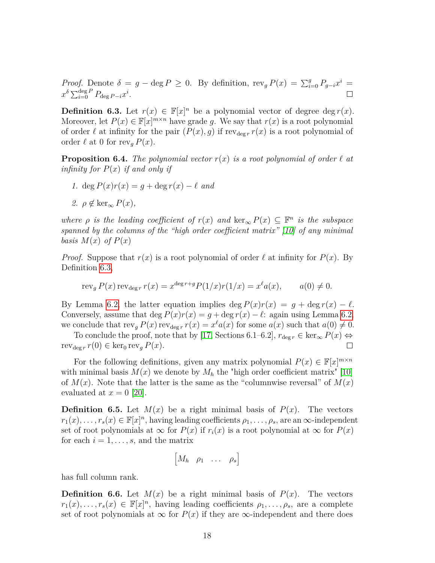*Proof.* Denote  $\delta = g - \deg P \ge 0$ . By definition,  $\text{rev}_g P(x) = \sum_{i=0}^g P_{g-i} x^i =$  $x^{\delta} \sum_{i=0}^{\deg P} P_{\deg P-i} x^i$ .  $\Box$ 

<span id="page-18-0"></span>**Definition 6.3.** Let  $r(x) \in \mathbb{F}[x]^n$  be a polynomial vector of degree deg  $r(x)$ . Moreover, let  $P(x) \in \mathbb{F}[x]^{m \times n}$  have grade g. We say that  $r(x)$  is a root polynomial of order  $\ell$  at infinity for the pair  $(P(x), g)$  if rev<sub>deg *r*</sub>  $r(x)$  is a root polynomial of order  $\ell$  at 0 for rev<sub>g</sub>  $P(x)$ .

**Proposition 6.4.** *The polynomial vector*  $r(x)$  *is a root polynomial of order*  $\ell$  *at infinity for*  $P(x)$  *if and only if* 

*1.* deg  $P(x)r(x) = q + \deg r(x) - \ell$  *and* 

$$
2. \ \rho \notin \ker_{\infty} P(x),
$$

*where*  $\rho$  *is the leading coefficient of*  $r(x)$  *and* ker<sub>∞</sub>  $P(x) \subseteq \mathbb{F}^n$  *is the subspace spanned by the columns of the "high order coefficient matrix" [\[10\]](#page-34-6) of any minimal basis*  $M(x)$  *of*  $P(x)$ 

*Proof.* Suppose that  $r(x)$  is a root polynomial of order  $\ell$  at infinity for  $P(x)$ . By Definition [6.3,](#page-18-0)

$$
\operatorname{rev}_g P(x) \operatorname{rev}_{\deg r} r(x) = x^{\deg r + g} P(1/x) r(1/x) = x^\ell a(x), \qquad a(0) \neq 0.
$$

By Lemma [6.2,](#page-17-2) the latter equation implies deg  $P(x)r(x) = g + \deg r(x) - \ell$ . Conversely, assume that deg  $P(x)r(x) = g + \deg r(x) - \ell$ : again using Lemma [6.2,](#page-17-2) we conclude that  $\text{rev}_g P(x) \text{rev}_{\text{deg } r} r(x) = x^{\ell} a(x)$  for some  $a(x)$  such that  $a(0) \neq 0$ .

To conclude the proof, note that by [\[17,](#page-35-0) Sections 6.1–6.2],  $r_{\text{deg }r} \in \text{ker}_{\infty} P(x) \Leftrightarrow$  $\text{rev}_{\text{deg }r} r(0) \in \text{ker}_0 \text{rev}_g P(x).$  $\Box$ 

For the following definitions, given any matrix polynomial  $P(x) \in \mathbb{F}[x]^{m \times n}$ with minimal basis  $M(x)$  we denote by  $M_h$  the "high order coefficient matrix" [\[10\]](#page-34-6) of  $M(x)$ . Note that the latter is the same as the "columnwise reversal" of  $M(x)$ evaluated at  $x = 0$  [\[20\]](#page-35-6).

**Definition 6.5.** Let  $M(x)$  be a right minimal basis of  $P(x)$ . The vectors  $r_1(x), \ldots, r_s(x) \in \mathbb{F}[x]^n$ , having leading coefficients  $\rho_1, \ldots, \rho_s$ , are an  $\infty$ -independent set of root polynomials at  $\infty$  for  $P(x)$  if  $r_i(x)$  is a root polynomial at  $\infty$  for  $P(x)$ for each  $i = 1, \ldots, s$ , and the matrix

$$
\begin{bmatrix} M_h & \rho_1 & \dots & \rho_s \end{bmatrix}
$$

has full column rank.

**Definition 6.6.** Let  $M(x)$  be a right minimal basis of  $P(x)$ . The vectors  $r_1(x), \ldots, r_s(x) \in \mathbb{F}[x]^n$ , having leading coefficients  $\rho_1, \ldots, \rho_s$ , are a complete set of root polynomials at  $\infty$  for  $P(x)$  if they are  $\infty$ -independent and there does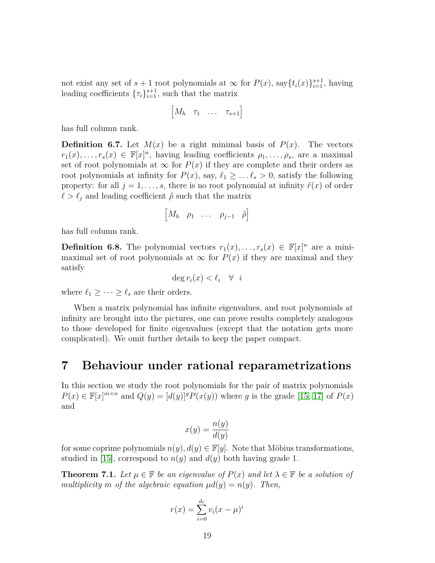not exist any set of  $s + 1$  root polynomials at  $\infty$  for  $P(x)$ , say $\{t_i(x)\}_{i=1}^{s+1}$ , having leading coefficients  $\{\tau_i\}_{i=1}^{s+1}$ , such that the matrix

$$
\begin{bmatrix} M_h & \tau_1 & \dots & \tau_{s+1} \end{bmatrix}
$$

has full column rank.

**Definition 6.7.** Let  $M(x)$  be a right minimal basis of  $P(x)$ . The vectors  $r_1(x), \ldots, r_s(x) \in \mathbb{F}[x]^n$ , having leading coefficients  $\rho_1, \ldots, \rho_s$ , are a maximal set of root polynomials at  $\infty$  for  $P(x)$  if they are complete and their orders as root polynomials at infinity for  $P(x)$ , say,  $\ell_1 \geq \ldots \ell_s > 0$ , satisfy the following property: for all  $j = 1, \ldots, s$ , there is no root polynomial at infinity  $\hat{r}(x)$  of order  $\ell > \ell_j$  and leading coefficient  $\hat{\rho}$  such that the matrix

$$
\begin{bmatrix} M_h & \rho_1 & \cdots & \rho_{j-1} & \hat{\rho} \end{bmatrix}
$$

has full column rank.

**Definition 6.8.** The polynomial vectors  $r_1(x), \ldots, r_s(x) \in \mathbb{F}[x]^n$  are a minimaximal set of root polynomials at  $\infty$  for  $P(x)$  if they are maximal and they satisfy

$$
\deg r_i(x) < \ell_i \quad \forall \quad i
$$

where  $\ell_1 \geq \cdots \geq \ell_s$  are their orders.

When a matrix polynomial has infinite eigenvalues, and root polynomials at infinity are brought into the pictures, one can prove results completely analogous to those developed for finite eigenvalues (except that the notation gets more complicated). We omit further details to keep the paper compact.

## <span id="page-19-0"></span>**7 Behaviour under rational reparametrizations**

In this section we study the root polynomials for the pair of matrix polynomials  $P(x) \in \mathbb{F}[x]^{m \times n}$  and  $Q(y) = [d(y)]^g P(x(y))$  where *g* is the grade [\[15,](#page-35-1) [17\]](#page-35-0) of  $P(x)$ and

$$
x(y) = \frac{n(y)}{d(y)}
$$

for some coprime polynomials  $n(y), d(y) \in \mathbb{F}[y]$ . Note that Möbius transformations, studied in [\[15\]](#page-35-1), correspond to  $n(y)$  and  $d(y)$  both having grade 1.

<span id="page-19-1"></span>**Theorem 7.1.** Let  $\mu \in \mathbb{F}$  be an eigenvalue of  $P(x)$  and let  $\lambda \in \mathbb{F}$  be a solution of *multiplicity m of the algebraic equation*  $\mu d(y) = n(y)$ *. Then,* 

$$
r(x) = \sum_{i=0}^{d_r} v_i (x - \mu)^i
$$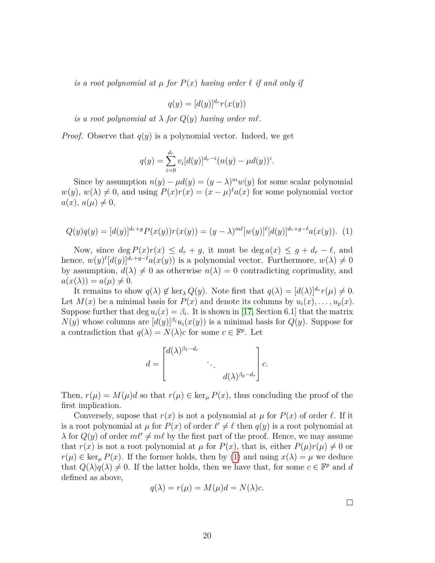*is a root polynomial at*  $\mu$  *for*  $P(x)$  *having order*  $\ell$  *if and only if* 

$$
q(y) = [d(y)]^{d_r} r(x(y))
$$

*is a root polynomial at*  $\lambda$  *for*  $Q(y)$  *having order m* $\ell$ *.* 

*Proof.* Observe that  $q(y)$  is a polynomial vector. Indeed, we get

$$
q(y) = \sum_{i=0}^{d_r} v_i [d(y)]^{d_r - i} (n(y) - \mu d(y))^i.
$$

Since by assumption  $n(y) - \mu d(y) = (y - \lambda)^m w(y)$  for some scalar polynomial  $w(y)$ ,  $w(\lambda) \neq 0$ , and using  $P(x)r(x) = (x - \mu)^{\ell} a(x)$  for some polynomial vector  $a(x)$ ,  $a(\mu) \neq 0$ ,

<span id="page-20-0"></span>
$$
Q(y)q(y) = [d(y)]^{d_r+g} P(x(y))r(x(y)) = (y - \lambda)^{m\ell} [w(y)]^{\ell} [d(y)]^{d_r+g-\ell} a(x(y)).
$$
 (1)

Now, since deg  $P(x)r(x) \leq d_r + g$ , it must be deg  $a(x) \leq g + d_r - \ell$ , and hence,  $w(y)^{\ell}[d(y)]^{d_r+g-\ell}a(x(y))$  is a polynomial vector. Furthermore,  $w(\lambda) \neq 0$ by assumption,  $d(\lambda) \neq 0$  as otherwise  $n(\lambda) = 0$  contradicting coprimality, and  $a(x(\lambda)) = a(\mu) \neq 0.$ 

It remains to show  $q(\lambda) \notin \ker_{\lambda} Q(y)$ . Note first that  $q(\lambda) = [d(\lambda)]^{d_r} r(\mu) \neq 0$ . Let  $M(x)$  be a minimal basis for  $P(x)$  and denote its columns by  $u_i(x), \ldots, u_p(x)$ . Suppose further that  $\deg u_i(x) = \beta_i$ . It is shown in [\[17,](#page-35-0) Section 6.1] that the matrix *N*(*y*) whose columns are  $[d(y)]^{\beta_i}u_i(x(y))$  is a minimal basis for  $Q(y)$ . Suppose for a contradiction that  $q(\lambda) = N(\lambda)c$  for some  $c \in \mathbb{F}^p$ . Let



Then,  $r(\mu) = M(\mu)d$  so that  $r(\mu) \in \ker_{\mu} P(x)$ , thus concluding the proof of the first implication.

Conversely, supose that  $r(x)$  is not a polynomial at  $\mu$  for  $P(x)$  of order  $\ell$ . If it is a root polynomial at  $\mu$  for  $P(x)$  of order  $\ell' \neq \ell$  then  $q(y)$  is a root polynomial at  $\lambda$  for  $Q(y)$  of order  $m\ell' \neq m\ell$  by the first part of the proof. Hence, we may assume that  $r(x)$  is not a root polynomial at  $\mu$  for  $P(x)$ , that is, either  $P(\mu)r(\mu) \neq 0$  or  $r(\mu) \in \ker_{\mu} P(x)$ . If the former holds, then by [\(1\)](#page-20-0) and using  $x(\lambda) = \mu$  we deduce that  $Q(\lambda)q(\lambda) \neq 0$ . If the latter holds, then we have that, for some  $c \in \mathbb{F}^p$  and *d* defined as above,

$$
q(\lambda) = r(\mu) = M(\mu)d = N(\lambda)c.
$$

 $\Box$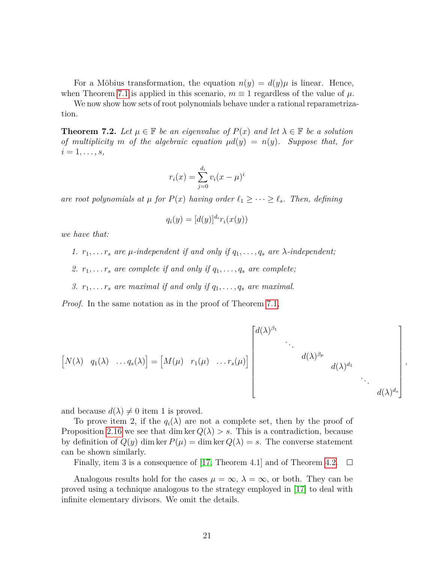For a Möbius transformation, the equation  $n(y) = d(y)\mu$  is linear. Hence, when Theorem [7.1](#page-19-1) is applied in this scenario,  $m \equiv 1$  regardless of the value of  $\mu$ .

We now show how sets of root polynomials behave under a rational reparametrization.

**Theorem 7.2.** Let  $\mu \in \mathbb{F}$  be an eigenvalue of  $P(x)$  and let  $\lambda \in \mathbb{F}$  be a solution *of multiplicity m of the algebraic equation*  $\mu d(y) = n(y)$ *. Suppose that, for*  $i = 1, \ldots, s$ *,* 

$$
r_i(x) = \sum_{j=0}^{d_i} v_i (x - \mu)^i
$$

*are root polynomials at*  $\mu$  *for*  $P(x)$  *having order*  $\ell_1 \geq \cdots \geq \ell_s$ *. Then, defining* 

$$
q_i(y) = [d(y)]^{d_i} r_i(x(y))
$$

*we have that:*

- *1.*  $r_1, \ldots, r_s$  are  $\mu$ -independent if and only if  $q_1, \ldots, q_s$  are  $\lambda$ -independent;
- 2.  $r_1, \ldots, r_s$  are complete if and only if  $q_1, \ldots, q_s$  are complete;
- *3.*  $r_1, \ldots, r_s$  are maximal if and only if  $q_1, \ldots, q_s$  are maximal.

*Proof.* In the same notation as in the proof of Theorem [7.1,](#page-19-1)

$$
\begin{bmatrix} N(\lambda) & q_1(\lambda) & \dots q_s(\lambda) \end{bmatrix} = \begin{bmatrix} M(\mu) & r_1(\mu) & \dots r_s(\mu) \end{bmatrix} \begin{bmatrix} d(\lambda)^{\beta_1} & & & \\ & \ddots & & \\ & & d(\lambda)^{\beta_p} & \\ & & & d(\lambda)^{d_1} & \\ & & & & \ddots \\ & & & & & d(\lambda)^{d_s} \end{bmatrix},
$$

and because  $d(\lambda) \neq 0$  item 1 is proved.

To prove item 2, if the  $q_i(\lambda)$  are not a complete set, then by the proof of Proposition [2.16](#page-8-1) we see that dim ker  $Q(\lambda) > s$ . This is a contradiction, because by definition of  $Q(y)$  dim ker  $P(\mu) = \dim \ker Q(\lambda) = s$ . The converse statement can be shown similarly.

Finally, item 3 is a consequence of [\[17,](#page-35-0) Theorem 4.1] and of Theorem [4.2.](#page-15-2)  $\Box$ 

Analogous results hold for the cases  $\mu = \infty$ ,  $\lambda = \infty$ , or both. They can be proved using a technique analogous to the strategy employed in [\[17\]](#page-35-0) to deal with infinite elementary divisors. We omit the details.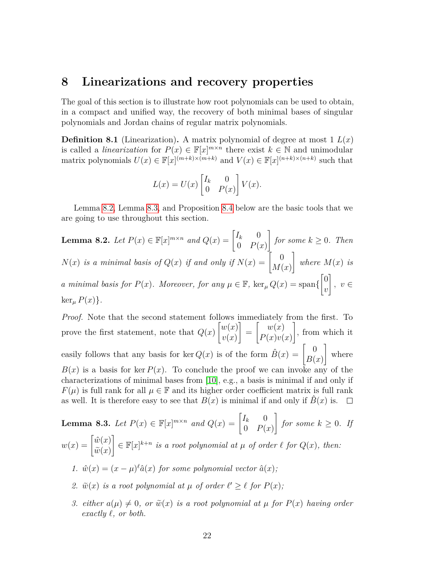## <span id="page-22-0"></span>**8 Linearizations and recovery properties**

The goal of this section is to illustrate how root polynomials can be used to obtain, in a compact and unified way, the recovery of both minimal bases of singular polynomials and Jordan chains of regular matrix polynomials.

**Definition 8.1** (Linearization). A matrix polynomial of degree at most  $1 L(x)$ is called a *linearization* for  $P(x) \in \mathbb{F}[x]^{m \times n}$  there exist  $k \in \mathbb{N}$  and unimodular matrix polynomials  $U(x) \in \mathbb{F}[x]^{(m+k)\times(m+k)}$  and  $V(x) \in \mathbb{F}[x]^{(n+k)\times(n+k)}$  such that

$$
L(x) = U(x) \begin{bmatrix} I_k & 0 \\ 0 & P(x) \end{bmatrix} V(x).
$$

Lemma [8.2,](#page-22-1) Lemma [8.3,](#page-22-2) and Proposition [8.4](#page-23-0) below are the basic tools that we are going to use throughout this section.

<span id="page-22-1"></span>**Lemma 8.2.** Let 
$$
P(x) \in \mathbb{F}[x]^{m \times n}
$$
 and  $Q(x) = \begin{bmatrix} I_k & 0 \\ 0 & P(x) \end{bmatrix}$  for some  $k \ge 0$ . Then  
\n $N(x)$  is a minimal basis of  $Q(x)$  if and only if  $N(x) = \begin{bmatrix} 0 \\ M(x) \end{bmatrix}$  where  $M(x)$  is  
\na minimal basis for  $P(x)$ . Moreover, for any  $\mu \in \mathbb{F}$ ,  $\ker_{\mu} Q(x) = \text{span}\{\begin{bmatrix} 0 \\ v \end{bmatrix}, v \in$   
\n $\ker_{\mu} P(x)\}.$ 

*Proof.* Note that the second statement follows immediately from the first. To prove the first statement, note that *Q*(*x*)  $\lceil w(x) \rceil$ *v*(*x*) 1 =  $\lceil \quad w(x) \rceil$ *P*(*x*)*v*(*x*) 1 , from which it easily follows that any basis for ker  $Q(x)$  is of the form  $\hat{B}(x) = \begin{bmatrix} 0 \\ P(x) \end{bmatrix}$ *B*(*x*) 1 where  $B(x)$  is a basis for ker  $P(x)$ . To conclude the proof we can invoke any of the characterizations of minimal bases from [\[10\]](#page-34-6), e.g., a basis is minimal if and only if  $F(\mu)$  is full rank for all  $\mu \in \mathbb{F}$  and its higher order coefficient matrix is full rank as well. It is therefore easy to see that  $B(x)$  is minimal if and only if  $\overline{B}(x)$  is.  $\Box$ 

<span id="page-22-2"></span>**Lemma 8.3.** *Let*  $P(x) \in \mathbb{F}[x]^{m \times n}$  *and*  $Q(x) = \begin{bmatrix} I_k & 0 \\ 0 & D(X) \end{bmatrix}$  $0$   $P(x)$ 1 *for some*  $k \geq 0$ *. If*  $w(x) = \begin{bmatrix} \hat{w}(x) \\ \tilde{w}(x) \end{bmatrix}$  $\widetilde{w}(x)$  $\left\{ \in \mathbb{F}[x]^{k+n} \text{ is a root polynomial at } \mu \text{ of order } \ell \text{ for } Q(x), \text{ then:} \right\}$ *1.*  $\hat{w}(x) = (x - \mu)^{\ell} \hat{a}(x)$  *for some polynomial vector*  $\hat{a}(x)$ *;* 2.  $\tilde{w}(x)$  *is a root polynomial at*  $\mu$  *of order*  $\ell' \geq \ell$  *for*  $P(x)$ *;* 

*3. either*  $a(\mu) \neq 0$ , *or*  $\tilde{w}(x)$  *is a root polynomial at*  $\mu$  *for*  $P(x)$  *having order exactly*  $\ell$ *, or both.*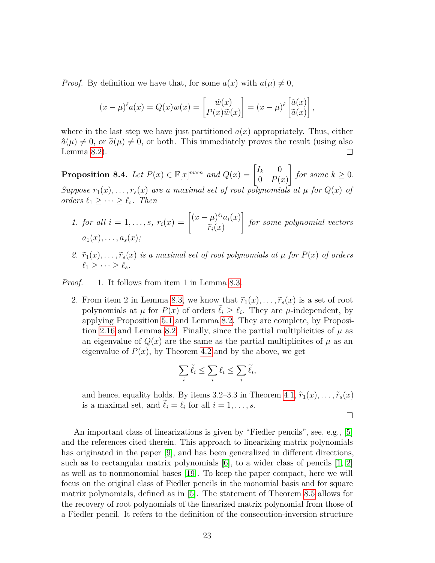*Proof.* By definition we have that, for some  $a(x)$  with  $a(\mu) \neq 0$ ,

$$
(x - \mu)^{\ell} a(x) = Q(x)w(x) = \begin{bmatrix} \hat{w}(x) \\ P(x)\tilde{w}(x) \end{bmatrix} = (x - \mu)^{\ell} \begin{bmatrix} \hat{a}(x) \\ \tilde{a}(x) \end{bmatrix},
$$

where in the last step we have just partitioned  $a(x)$  appropriately. Thus, either  $\hat{a}(\mu) \neq 0$ , or  $\tilde{a}(\mu) \neq 0$ , or both. This immediately proves the result (using also Lemma 8.2). Lemma [8.2\)](#page-22-1).

<span id="page-23-0"></span>**Proposition 8.4.** Let  $P(x) \in \mathbb{F}[x]^{m \times n}$  and  $Q(x) = \begin{bmatrix} I_k & 0 \\ 0 & D(X) \end{bmatrix}$  $0$   $P(x)$ 1 *for some*  $k \geq 0$ *. Suppose*  $r_1(x), \ldots, r_s(x)$  *are a maximal set of root polynomials at*  $\mu$  *for*  $Q(x)$  *of orders*  $\ell_1 \geq \cdots \geq \ell_s$ *. Then* 

- *1. for all*  $i = 1, ..., s$ *,*  $r_i(x) = \begin{cases} (x \mu)^{\ell_i} a_i(x) \\ \tilde{x}(x) \end{cases}$  $\widetilde{r}_i(x)$ 1 *for some polynomial vectors*  $a_1(x), \ldots, a_s(x)$ ;
- 2.  $\tilde{r}_1(x), \ldots, \tilde{r}_s(x)$  *is a maximal set of root polynomials at*  $\mu$  *for*  $P(x)$  *of orders*  $\ell_1 > \cdots > \ell_s$ .

*Proof.* 1. It follows from item 1 in Lemma [8.3.](#page-22-2)

2. From item 2 in Lemma [8.3,](#page-22-2) we know that  $\tilde{r}_1(x), \ldots, \tilde{r}_s(x)$  is a set of root polynomials at  $\mu$  for  $P(x)$  of orders  $\ell_i \geq \ell_i$ . They are  $\mu$ -independent, by applying Proposition [5.1](#page-15-1) and Lemma [8.2.](#page-22-1) They are complete, by Proposi-tion [2.16](#page-8-1) and Lemma [8.2.](#page-22-1) Finally, since the partial multiplicities of  $\mu$  as an eigenvalue of  $Q(x)$  are the same as the partial multiplicites of  $\mu$  as an eigenvalue of  $P(x)$ , by Theorem [4.2](#page-15-2) and by the above, we get

$$
\sum_i \widetilde{\ell}_i \le \sum_i \ell_i \le \sum_i \widetilde{\ell}_i,
$$

and hence, equality holds. By items 3.2–3.3 in Theorem [4.1,](#page-13-2)  $\tilde{r}_1(x), \ldots, \tilde{r}_s(x)$ is a maximal set, and  $\ell_i = \ell_i$  for all  $i = 1, \ldots, s$ .

 $\Box$ 

An important class of linearizations is given by "Fiedler pencils", see, e.g., [\[5\]](#page-34-4) and the references cited therein. This approach to linearizing matrix polynomials has originated in the paper [\[9\]](#page-34-7), and has been generalized in different directions, such as to rectangular matrix polynomials  $[6]$ , to a wider class of pencils  $[1, 2]$  $[1, 2]$  $[1, 2]$ as well as to nonmonomial bases [\[19\]](#page-35-5). To keep the paper compact, here we will focus on the original class of Fiedler pencils in the monomial basis and for square matrix polynomials, defined as in [\[5\]](#page-34-4). The statement of Theorem [8.5](#page-24-0) allows for the recovery of root polynomials of the linearized matrix polynomial from those of a Fiedler pencil. It refers to the definition of the consecution-inversion structure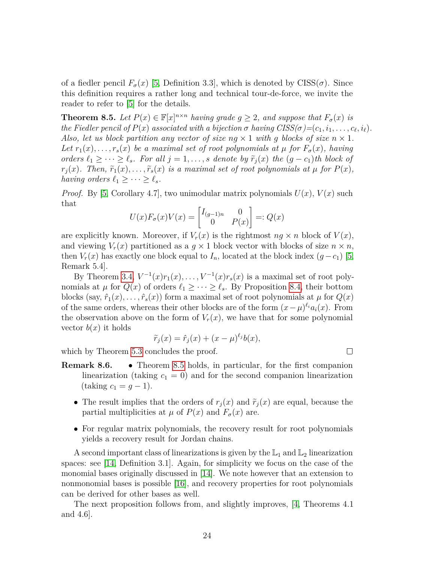of a fiedler pencil  $F_{\sigma}(x)$  [\[5,](#page-34-4) Definition 3.3], which is denoted by CISS( $\sigma$ ). Since this definition requires a rather long and technical tour-de-force, we invite the reader to refer to [\[5\]](#page-34-4) for the details.

<span id="page-24-0"></span>**Theorem 8.5.** *Let*  $P(x) \in \mathbb{F}[x]^{n \times n}$  *having grade*  $g \geq 2$ *, and suppose that*  $F_{\sigma}(x)$  *is the Fiedler pencil of*  $P(x)$  *associated with a bijection*  $\sigma$  *having*  $CISS(\sigma) = (c_1, i_1, \ldots, c_\ell, i_\ell)$ *. Also, let us block partition any vector of size*  $n \times 1$  *<i>with q blocks of size*  $n \times 1$ *. Let*  $r_1(x), \ldots, r_s(x)$  *be a maximal set of root polynomials at*  $\mu$  *for*  $F_\sigma(x)$ *, having orders*  $\ell_1$  ≥ · · · ≥  $\ell_s$ *. For all*  $j = 1, \ldots, s$  *denote by*  $\tilde{r}_j(x)$  *the*  $(g - c_1)$ *th block of*  $r_j(x)$ *. Then,*  $\tilde{r}_1(x), \ldots, \tilde{r}_s(x)$  *is a maximal set of root polynomials at*  $\mu$  *for*  $P(x)$ *, having orders*  $\ell_1 \geq \cdots \geq \ell_s$ *.* 

*Proof.* By [\[5,](#page-34-4) Corollary 4.7], two unimodular matrix polynomials  $U(x)$ ,  $V(x)$  such that

$$
U(x)F_{\sigma}(x)V(x) = \begin{bmatrix} I_{(g-1)n} & 0\\ 0 & P(x) \end{bmatrix} =: Q(x)
$$

are explicitly known. Moreover, if  $V_r(x)$  is the rightmost  $ng \times n$  block of  $V(x)$ , and viewing  $V_r(x)$  partitioned as a  $g \times 1$  block vector with blocks of size  $n \times n$ , then  $V_r(x)$  has exactly one block equal to  $I_n$ , located at the block index  $(g-c_1)$  [\[5,](#page-34-4) Remark 5.4].

By Theorem [3.4,](#page-12-1)  $V^{-1}(x)r_1(x), \ldots, V^{-1}(x)r_s(x)$  is a maximal set of root polynomials at  $\mu$  for  $Q(x)$  of orders  $\ell_1 \geq \cdots \geq \ell_s$ . By Proposition [8.4,](#page-23-0) their bottom blocks (say,  $\hat{r}_1(x), \ldots, \hat{r}_s(x)$ ) form a maximal set of root polynomials at  $\mu$  for  $Q(x)$ of the same orders, whereas their other blocks are of the form  $(x - \mu)^{\ell_i} a_i(x)$ . From the observation above on the form of  $V_r(x)$ , we have that for some polynomial vector  $b(x)$  it holds

$$
\widetilde{r}_j(x) = \widehat{r}_j(x) + (x - \mu)^{\ell_j} b(x),
$$

which by Theorem [5.3](#page-16-0) concludes the proof.

- **Remark 8.6.** Theorem [8.5](#page-24-0) holds, in particular, for the first companion linearization (taking  $c_1 = 0$ ) and for the second companion linearization  $(taking \ c_1 = g - 1).$ 
	- The result implies that the orders of  $r_i(x)$  and  $\tilde{r}_i(x)$  are equal, because the partial multiplicities at  $\mu$  of  $P(x)$  and  $F_{\sigma}(x)$  are.
	- For regular matrix polynomials, the recovery result for root polynomials yields a recovery result for Jordan chains.

A second important class of linearizations is given by the  $\mathbb{L}_1$  and  $\mathbb{L}_2$  linearization spaces: see [\[14,](#page-35-3) Definition 3.1]. Again, for simplicity we focus on the case of the monomial bases originally discussed in [\[14\]](#page-35-3). We note however that an extension to nonmonomial bases is possible [\[16\]](#page-35-4), and recovery properties for root polynomials can be derived for other bases as well.

The next proposition follows from, and slightly improves, [\[4,](#page-34-3) Theorems 4.1 and 4.6].

 $\Box$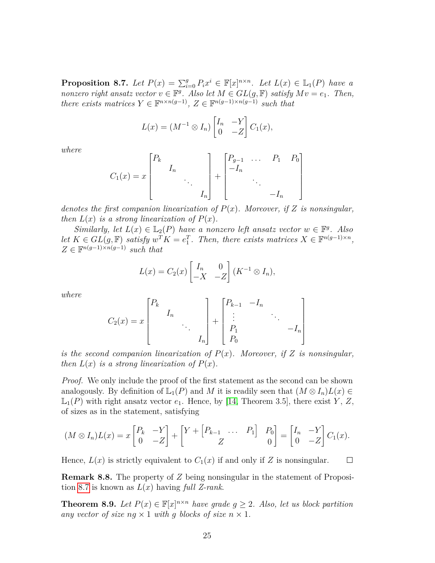<span id="page-25-0"></span>**Proposition 8.7.** *Let*  $P(x) = \sum_{i=0}^{g} P_i x^i \in \mathbb{F}[x]^{n \times n}$ *. Let*  $L(x) \in \mathbb{L}_1(P)$  *have a nonzero right ansatz vector*  $v \in \mathbb{F}^g$ . Also let  $M \in GL(g, \mathbb{F})$  satisfy  $Mv = e_1$ . Then, *there exists matrices*  $Y \in \mathbb{F}^{n \times n(g-1)}$ ,  $Z \in \mathbb{F}^{n(g-1)\times n(g-1)}$  *such that* 

$$
L(x) = (M^{-1} \otimes I_n) \begin{bmatrix} I_n & -Y \\ 0 & -Z \end{bmatrix} C_1(x),
$$

*where*

$$
C_1(x) = x \begin{bmatrix} P_k & & & \\ & I_n & & \\ & & \ddots & \\ & & & I_n \end{bmatrix} + \begin{bmatrix} P_{g-1} & \dots & P_1 & P_0 \\ -I_n & & & \\ & & \ddots & \\ & & & -I_n \end{bmatrix}
$$

*denotes the first companion linearization of*  $P(x)$ *. Moreover, if Z is nonsingular, then*  $L(x)$  *is a strong linearization of*  $P(x)$ *.* 

*Similarly, let*  $L(x) \in \mathbb{L}_2(P)$  *have a nonzero left ansatz vector*  $w \in \mathbb{F}^g$ *. Also let*  $K \in GL(g, \mathbb{F})$  *satisfy*  $w^T K = e_1^T$ . Then, there exists matrices  $X \in \mathbb{F}^{n(g-1)\times n}$ ,  $Z \in \mathbb{F}^{n(g-1)\times n(g-1)}$  *such that* 

$$
L(x) = C_2(x) \begin{bmatrix} I_n & 0 \\ -X & -Z \end{bmatrix} (K^{-1} \otimes I_n),
$$

*where*

$$
C_2(x) = x \begin{bmatrix} P_k & & & \\ & I_n & & \\ & & \ddots & \\ & & & I_n \end{bmatrix} + \begin{bmatrix} P_{k-1} & -I_n & & \\ \vdots & & \ddots & \\ P_1 & & & -I_n \\ P_0 & & & \end{bmatrix}
$$

*is the second companion linearization of*  $P(x)$ *. Moreover, if Z is nonsingular, then*  $L(x)$  *is a strong linearization of*  $P(x)$ *.* 

*Proof.* We only include the proof of the first statement as the second can be shown analogously. By definition of  $\mathbb{L}_1(P)$  and *M* it is readily seen that  $(M \otimes I_n)L(x) \in$  $\mathbb{L}_1(P)$  with right ansatz vector  $e_1$ . Hence, by [\[14,](#page-35-3) Theorem 3.5], there exist *Y*, *Z*, of sizes as in the statement, satisfying

$$
(M \otimes I_n)L(x) = x\begin{bmatrix} P_k & -Y \\ 0 & -Z \end{bmatrix} + \begin{bmatrix} Y + \begin{bmatrix} P_{k-1} & \dots & P_1 \end{bmatrix} & P_0 \\ Z & 0 \end{bmatrix} = \begin{bmatrix} I_n & -Y \\ 0 & -Z \end{bmatrix} C_1(x).
$$

Hence,  $L(x)$  is strictly equivalent to  $C_1(x)$  if and only if Z is nonsingular.  $\Box$ 

**Remark 8.8.** The property of *Z* being nonsingular in the statement of Proposition [8.7](#page-25-0) is known as *L*(*x*) having *full Z-rank*.

**Theorem 8.9.** *Let*  $P(x) \in \mathbb{F}[x]^{n \times n}$  *have grade*  $g \geq 2$ *. Also, let us block partition any vector of size*  $nq \times 1$  *with g blocks of size*  $n \times 1$ *.*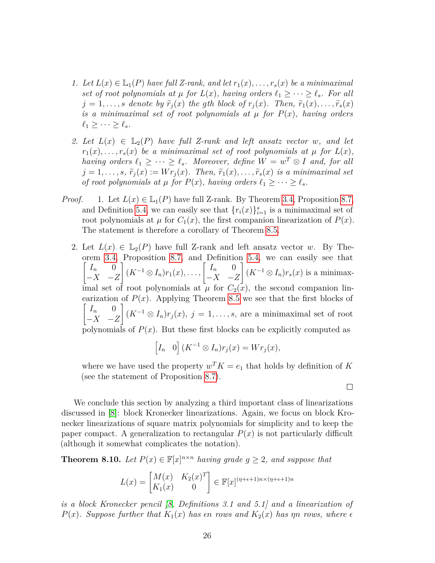- *1. Let*  $L(x) \in L_1(P)$  *have full Z-rank, and let*  $r_1(x), \ldots, r_s(x)$  *be a minimaximal set of root polynomials at*  $\mu$  *for*  $L(x)$ *, having orders*  $\ell_1 \geq \cdots \geq \ell_s$ *. For all*  $j = 1, \ldots, s$  *denote by*  $\tilde{r}_j(x)$  *the gth block of*  $r_j(x)$ *. Then,*  $\tilde{r}_1(x), \ldots, \tilde{r}_s(x)$ *is a minimaximal set of root polynomials at*  $\mu$  *for*  $P(x)$ *, having orders*  $\ell_1 \geq \cdots \geq \ell_s$ *.*
- 2. Let  $L(x) \in L_2(P)$  have full Z-rank and left ansatz vector w, and let  $r_1(x), \ldots, r_s(x)$  *be a minimaximal set of root polynomials at*  $\mu$  *for*  $L(x)$ *, having orders*  $\ell_1 \geq \cdots \geq \ell_s$ *. Moreover, define*  $W = w^T \otimes I$  *and, for all*  $j = 1, \ldots, s, \, \tilde{r}_j(x) := Wr_j(x)$ *. Then,*  $\tilde{r}_1(x), \ldots, \tilde{r}_s(x)$  *is a minimaximal set of root polynomials at*  $\mu$  *for*  $P(x)$ *, having orders*  $\ell_1 \geq \cdots \geq \ell_s$ *.*
- *Proof.* 1. Let  $L(x) \in \mathbb{L}_1(P)$  have full Z-rank. By Theorem [3.4,](#page-12-1) Proposition [8.7,](#page-25-0) and Definition [5.4,](#page-17-3) we can easily see that  $\{r_i(x)\}_{i=1}^s$  is a minimaximal set of root polynomials at  $\mu$  for  $C_1(x)$ , the first companion linearization of  $P(x)$ . The statement is therefore a corollary of Theorem [8.5.](#page-24-0)
	- 2. Let  $L(x) \in L_2(P)$  have full Z-rank and left ansatz vector *w*. By Theorem [3.4,](#page-12-1) Proposition [8.7,](#page-25-0) and Definition [5.4,](#page-17-3) we can easily see that  $\begin{bmatrix} I_n & 0 \end{bmatrix}$ −*X* −*Z*  $\left[(K^{-1}\otimes I_n)r_1(x),\ldots,\left[\begin{array}{cc}I_n&0\end{array}\right]\right]$ −*X* −*Z*  $\left( K^{-1} \otimes I_n r(r) \right)$  is a minimaximal set of root polynomials at  $\mu$  for  $C_2(x)$ , the second companion linearization of  $P(x)$ . Applying Theorem [8.5](#page-24-0) we see that the first blocks of  $\begin{bmatrix} I_n & 0 \end{bmatrix}$ −*X* −*Z*  $\left( (K^{-1} \otimes I_n)r_j(x), j = 1, \ldots, s$ , are a minimaximal set of root polynomials of  $P(x)$ . But these first blocks can be explicitly computed as

$$
\[I_n \quad 0\] (K^{-1} \otimes I_n) r_j(x) = W r_j(x),\]
$$

where we have used the property  $w^T K = e_1$  that holds by definition of K (see the statement of Proposition [8.7\)](#page-25-0).

 $\Box$ 

We conclude this section by analyzing a third important class of linearizations discussed in [\[8\]](#page-34-9): block Kronecker linearizations. Again, we focus on block Kronecker linearizations of square matrix polynomials for simplicity and to keep the paper compact. A generalization to rectangular  $P(x)$  is not particularly difficult (although it somewhat complicates the notation).

**Theorem 8.10.** *Let*  $P(x) \in \mathbb{F}[x]^{n \times n}$  *having grade*  $g \geq 2$ *, and suppose that* 

$$
L(x) = \begin{bmatrix} M(x) & K_2(x)^T \\ K_1(x) & 0 \end{bmatrix} \in \mathbb{F}[x]^{(\eta + \epsilon + 1)n \times (\eta + \epsilon + 1)n}
$$

*is a block Kronecker pencil [\[8,](#page-34-9) Definitions 3.1 and 5.1] and a linearization of P*(*x*)*.* Suppose further that  $K_1(x)$  has  $\epsilon n$  *rows and*  $K_2(x)$  has  $\eta n$  *rows, where*  $\epsilon$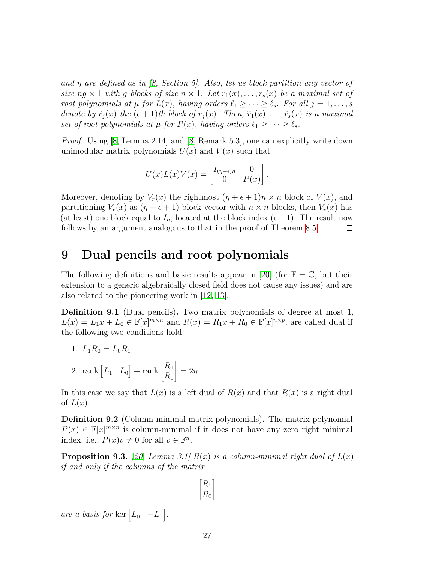*and η are defined as in [\[8,](#page-34-9) Section 5]. Also, let us block partition any vector of size*  $ng \times 1$  *with g blocks of size*  $n \times 1$ *. Let*  $r_1(x), \ldots, r_s(x)$  *be a maximal set of root polynomials at*  $\mu$  *for*  $L(x)$ *, having orders*  $\ell_1 \geq \cdots \geq \ell_s$ *. For all*  $j = 1, \ldots, s$ *denote by*  $\tilde{r}_i(x)$  *the*  $(\epsilon + 1)$ *th block of*  $r_j(x)$ *. Then,*  $\tilde{r}_1(x), \ldots, \tilde{r}_s(x)$  *is a maximal set of root polynomials at*  $\mu$  *for*  $P(x)$ *, having orders*  $\ell_1 \geq \cdots \geq \ell_s$ *.* 

*Proof.* Using [\[8,](#page-34-9) Lemma 2.14] and [\[8,](#page-34-9) Remark 5.3], one can explicitly write down unimodular matrix polynomials  $U(x)$  and  $V(x)$  such that

$$
U(x)L(x)V(x) = \begin{bmatrix} I_{(\eta+\epsilon)n} & 0 \\ 0 & P(x) \end{bmatrix}.
$$

Moreover, denoting by  $V_r(x)$  the rightmost  $(\eta + \epsilon + 1)n \times n$  block of  $V(x)$ , and partitioning  $V_r(x)$  as  $(\eta + \epsilon + 1)$  block vector with  $n \times n$  blocks, then  $V_r(x)$  has (at least) one block equal to  $I_n$ , located at the block index  $(\epsilon + 1)$ . The result now follows by an argument analogous to that in the proof of Theorem [8.5.](#page-24-0)  $\Box$ 

## <span id="page-27-0"></span>**9 Dual pencils and root polynomials**

The following definitions and basic results appear in [\[20\]](#page-35-6) (for  $\mathbb{F} = \mathbb{C}$ , but their extension to a generic algebraically closed field does not cause any issues) and are also related to the pioneering work in [\[12,](#page-34-10) [13\]](#page-35-8).

**Definition 9.1** (Dual pencils)**.** Two matrix polynomials of degree at most 1,  $L(x) = L_1x + L_0 \in \mathbb{F}[x]^{m \times n}$  and  $R(x) = R_1x + R_0 \in \mathbb{F}[x]^{n \times p}$ , are called dual if the following two conditions hold:

- 1.  $L_1R_0 = L_0R_1;$
- 2. rank  $\begin{bmatrix} L_1 & L_0 \end{bmatrix}$  + rank  $\begin{bmatrix} R_1 \\ R_2 \end{bmatrix}$ *R*<sup>0</sup> 1  $= 2n$ .

In this case we say that  $L(x)$  is a left dual of  $R(x)$  and that  $R(x)$  is a right dual of  $L(x)$ .

**Definition 9.2** (Column-minimal matrix polynomials)**.** The matrix polynomial  $P(x) \in \mathbb{F}[x]^{m \times n}$  is column-minimal if it does not have any zero right minimal index, i.e.,  $P(x)v \neq 0$  for all  $v \in \mathbb{F}^n$ .

**Proposition 9.3.** [\[20,](#page-35-6) Lemma 3.1]  $R(x)$  is a column-minimal right dual of  $L(x)$ *if and only if the columns of the matrix*

$$
\begin{bmatrix} R_1 \\ R_0 \end{bmatrix}
$$

*are a basis for* ker  $\begin{bmatrix} L_0 & -L_1 \end{bmatrix}$ .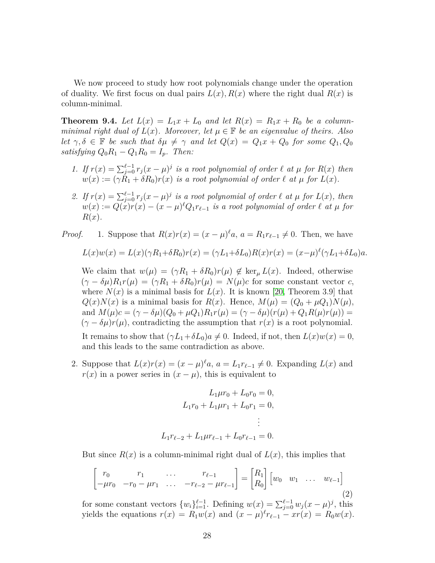We now proceed to study how root polynomials change under the operation of duality. We first focus on dual pairs  $L(x)$ ,  $R(x)$  where the right dual  $R(x)$  is column-minimal.

<span id="page-28-1"></span>**Theorem 9.4.** Let  $L(x) = L_1x + L_0$  and let  $R(x) = R_1x + R_0$  be a column*minimal right dual of*  $L(x)$ *. Moreover, let*  $\mu \in \mathbb{F}$  *be an eigenvalue of theirs. Also let*  $\gamma, \delta \in \mathbb{F}$  *be such that*  $\delta \mu \neq \gamma$  *and let*  $Q(x) = Q_1 x + Q_0$  *for some*  $Q_1, Q_0$ *satisfying*  $Q_0R_1 - Q_1R_0 = I_p$ *. Then:* 

- *1.* If  $r(x) = \sum_{j=0}^{\ell-1} r_j(x \mu)^j$  is a root polynomial of order  $\ell$  *at*  $\mu$  for  $R(x)$  then  $w(x) := (\gamma R_1 + \delta R_0) r(x)$  *is a root polynomial of order*  $\ell$  *at*  $\mu$  *for*  $L(x)$ *.*
- 2. If  $r(x) = \sum_{j=0}^{\ell-1} r_j(x-\mu)^j$  is a root polynomial of order  $\ell$  at  $\mu$  for  $L(x)$ , then  $w(x) := Q(x)r(x) - (x - \mu)^{\ell}Q_1r_{\ell-1}$  *is a root polynomial of order*  $\ell$  *at*  $\mu$  *for R*(*x*)*.*

*Proof.* 1. Suppose that  $R(x)r(x) = (x - \mu)^{\ell}a$ ,  $a = R_1r_{\ell-1} \neq 0$ . Then, we have

$$
L(x)w(x) = L(x)(\gamma R_1 + \delta R_0)r(x) = (\gamma L_1 + \delta L_0)R(x)r(x) = (x - \mu)^{\ell}(\gamma L_1 + \delta L_0)a.
$$

We claim that  $w(\mu) = (\gamma R_1 + \delta R_0) r(\mu) \notin \ker_{\mu} L(x)$ . Indeed, otherwise  $(\gamma - \delta \mu)R_1r(\mu) = (\gamma R_1 + \delta R_0)r(\mu) = N(\mu)c$  for some constant vector *c*, where  $N(x)$  is a minimal basis for  $L(x)$ . It is known [\[20,](#page-35-6) Theorem 3.9] that  $Q(x)N(x)$  is a minimal basis for  $R(x)$ . Hence,  $M(\mu) = (Q_0 + \mu Q_1)N(\mu)$ , and  $M(\mu)c = (\gamma - \delta \mu)(Q_0 + \mu Q_1)R_1r(\mu) = (\gamma - \delta \mu)(r(\mu) + Q_1R(\mu)r(\mu)) =$  $(\gamma - \delta \mu)r(\mu)$ , contradicting the assumption that  $r(x)$  is a root polynomial. It remains to show that  $(\gamma L_1 + \delta L_0)a \neq 0$ . Indeed, if not, then  $L(x)w(x) = 0$ , and this leads to the same contradiction as above.

2. Suppose that  $L(x)r(x) = (x - \mu)^{\ell}a$ ,  $a = L_1r_{\ell-1} \neq 0$ . Expanding  $L(x)$  and  $r(x)$  in a power series in  $(x - \mu)$ , this is equivalent to

$$
L_1\mu r_0 + L_0r_0 = 0,
$$
  
\n
$$
L_1r_0 + L_1\mu r_1 + L_0r_1 = 0,
$$
  
\n
$$
\vdots
$$
  
\n
$$
L_1r_{\ell-2} + L_1\mu r_{\ell-1} + L_0r_{\ell-1} = 0.
$$

But since  $R(x)$  is a column-minimal right dual of  $L(x)$ , this implies that

<span id="page-28-0"></span>
$$
\begin{bmatrix} r_0 & r_1 & \dots & r_{\ell-1} \\ -\mu r_0 & -r_0 - \mu r_1 & \dots & -r_{\ell-2} - \mu r_{\ell-1} \end{bmatrix} = \begin{bmatrix} R_1 \\ R_0 \end{bmatrix} \begin{bmatrix} w_0 & w_1 & \dots & w_{\ell-1} \end{bmatrix}
$$
\n(2)

for some constant vectors  $\{w_i\}_{i=1}^{\ell-1}$ . Defining  $w(x) = \sum_{j=0}^{\ell-1} w_j (x - \mu)^j$ , this yields the equations  $r(x) = R_1 w(x)$  and  $(x - \mu)^{\ell} r_{\ell-1} - xr(x) = R_0 w(x)$ .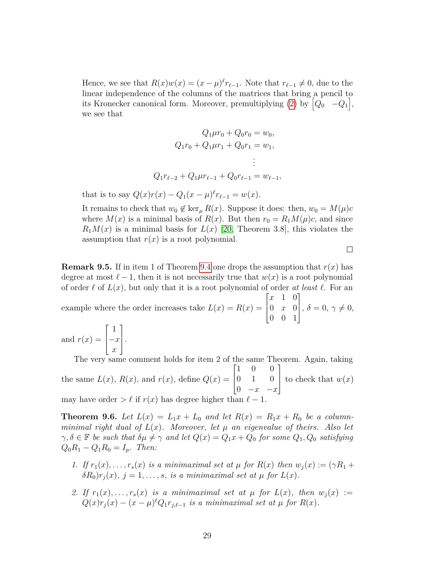Hence, we see that  $R(x)w(x) = (x - \mu)^{\ell} r_{\ell-1}$ . Note that  $r_{\ell-1} \neq 0$ , due to the linear independence of the columns of the matrices that bring a pencil to its Kronecker canonical form. Moreover, premultiplying [\(2\)](#page-28-0) by  $\begin{bmatrix} Q_0 & -Q_1 \end{bmatrix}$ , we see that

$$
Q_1\mu r_0 + Q_0r_0 = w_0,
$$
  
\n
$$
Q_1r_0 + Q_1\mu r_1 + Q_0r_1 = w_1,
$$
  
\n
$$
\vdots
$$
  
\n
$$
Q_1r_{\ell-2} + Q_1\mu r_{\ell-1} + Q_0r_{\ell-1} = w_{\ell-1},
$$

that is to say  $Q(x)r(x) - Q_1(x - \mu)^{\ell}r_{\ell-1} = w(x)$ .

It remains to check that  $w_0 \notin \ker_{\mu} R(x)$ . Suppose it does: then,  $w_0 = M(\mu)c$ where  $M(x)$  is a minimal basis of  $R(x)$ . But then  $r_0 = R_1 M(\mu)c$ , and since  $R_1M(x)$  is a minimal basis for  $L(x)$  [\[20,](#page-35-6) Theorem 3.8], this violates the assumption that  $r(x)$  is a root polynomial.

 $\Box$ 

**Remark 9.5.** If in item 1 of Theorem [9.4](#page-28-1) one drops the assumption that  $r(x)$  has degree at most  $\ell - 1$ , then it is not necessarily true that  $w(x)$  is a root polynomial of order  $\ell$  of  $L(x)$ , but only that it is a root polynomial of order *at least*  $\ell$ . For an example where the order increases take  $L(x) = R(x) =$  $\lceil$  $\overline{\phantom{a}}$ *x* 1 0 0 *x* 0 0 0 1 1  $\Big\}, \delta = 0, \gamma \neq 0,$ 

and  $r(x) =$  $\lceil$  $\Big\}$ 1 −*x x* 1  $\vert \cdot$ 

The very same comment holds for item 2 of the same Theorem. Again, taking the same  $L(x)$ ,  $R(x)$ , and  $r(x)$ , define  $Q(x) =$  $\lceil$  $\Big\}$ 1 0 0 0 1 0 0 −*x* −*x* 1 to check that  $w(x)$ may have order  $> \ell$  if  $r(x)$  has degree higher than

<span id="page-29-0"></span>**Theorem 9.6.** Let  $L(x) = L_1x + L_0$  and let  $R(x) = R_1x + R_0$  be a column*minimal right dual of*  $L(x)$ *. Moreover, let*  $\mu$  *an eigenvalue of theirs. Also let*  $\gamma, \delta \in \mathbb{F}$  *be such that*  $\delta \mu \neq \gamma$  *and let*  $Q(x) = Q_1 x + Q_0$  *for some*  $Q_1, Q_0$  *satisfying*  $Q_0R_1 - Q_1R_0 = I_p$ *. Then:* 

- *1. If*  $r_1(x), \ldots, r_s(x)$  *is a minimaximal set at*  $\mu$  *for*  $R(x)$  *then*  $w_i(x) := (\gamma R_1 + \gamma k)$  $δR<sub>0</sub>$ ) $r<sub>i</sub>(x)$ *,*  $j = 1, \ldots, s$ *, is a minimaximal set at µ for*  $L(x)$ *.*
- 2. If  $r_1(x), \ldots, r_s(x)$  is a minimaximal set at  $\mu$  for  $L(x)$ , then  $w_i(x) :=$  $Q(x)r_j(x) - (x - \mu)^{\ell}Q_1r_{j,\ell-1}$  *is a minimaximal set at*  $\mu$  *for*  $R(x)$ *.*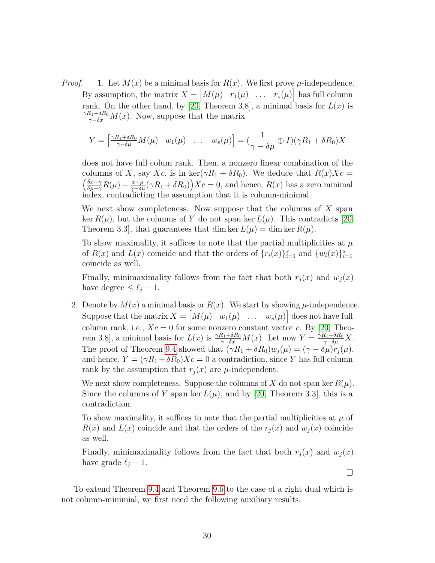*Proof.* 1. Let  $M(x)$  be a minimal basis for  $R(x)$ . We first prove  $\mu$ -independence. By assumption, the matrix  $X = \begin{bmatrix} M(\mu) & r_1(\mu) & \dots & r_s(\mu) \end{bmatrix}$  has full column rank. On the other hand, by [\[20,](#page-35-6) Theorem 3.8], a minimal basis for  $L(x)$  is  $\frac{\gamma R_1 + \delta R_0}{\gamma - \delta x} M(x)$ . Now, suppose that the matrix

$$
Y = \begin{bmatrix} \frac{\gamma R_1 + \delta R_0}{\gamma - \delta \mu} M(\mu) & w_1(\mu) & \dots & w_s(\mu) \end{bmatrix} = \left( \frac{1}{\gamma - \delta \mu} \oplus I \right) (\gamma R_1 + \delta R_0) X
$$

does not have full colum rank. Then, a nonzero linear combination of the columns of X, say  $Xc$ , is in ker( $\gamma R_1 + \delta R_0$ ). We deduce that  $R(x)Xc =$  *δx*−*γ*  $\frac{\delta x-\gamma}{\delta\mu-\gamma}R(\mu) + \frac{x-\mu}{\gamma-\delta\mu}(\gamma R_1 + \delta R_0)\right)X_c = 0$ , and hence,  $R(x)$  has a zero minimal index, contradicting the assumption that it is column-minimal.

We next show completeness. Now suppose that the columns of *X* span ker  $R(\mu)$ , but the columns of *Y* do not span ker  $L(\mu)$ . This contradicts [\[20,](#page-35-6) Theorem 3.3, that guarantees that dim ker  $L(\mu) = \dim \ker R(\mu)$ .

To show maximality, it suffices to note that the partial multiplicities at *µ* of  $R(x)$  and  $L(x)$  coincide and that the orders of  $\{r_i(x)\}_{i=1}^s$  and  $\{w_i(x)\}_{i=1}^s$ coincide as well.

Finally, minimaximality follows from the fact that both  $r_j(x)$  and  $w_j(x)$ have degree  $\leq \ell_j - 1$ .

2. Denote by  $M(x)$  a minimal basis or  $R(x)$ . We start by showing  $\mu$ -independence. Suppose that the matrix  $X = \begin{bmatrix} M(\mu) & w_1(\mu) & \dots & w_s(\mu) \end{bmatrix}$  does not have full column rank, i.e.,  $Xc = 0$  for some nonzero constant vector *c*. By [\[20,](#page-35-6) Theorem 3.8], a minimal basis for  $L(x)$  is  $\frac{\gamma R_1 + \delta R_0}{\gamma - \delta x} M(x)$ . Let now  $Y = \frac{\gamma R_1 + \delta R_0}{\gamma - \delta \mu} X$ . The proof of Theorem [9.4](#page-28-1) showed that  $(\gamma R_1 + \delta R_0)w_j(\mu) = (\gamma - \delta \mu)r_j(\mu)$ , and hence,  $Y = (\gamma R_1 + \delta R_0)X_c = 0$  a contradiction, since *Y* has full column rank by the assumption that  $r_i(x)$  are  $\mu$ -independent.

We next show completeness. Suppose the columns of  $X$  do not span ker  $R(\mu)$ . Since the columns of *Y* span ker  $L(\mu)$ , and by [\[20,](#page-35-6) Theorem 3.3], this is a contradiction.

To show maximality, it suffices to note that the partial multiplicities at *µ* of  $R(x)$  and  $L(x)$  coincide and that the orders of the  $r_j(x)$  and  $w_j(x)$  coincide as well.

Finally, minimaximality follows from the fact that both  $r_j(x)$  and  $w_j(x)$ have grade  $\ell_j - 1$ .

 $\Box$ 

To extend Theorem [9.4](#page-28-1) and Theorem [9.6](#page-29-0) to the case of a right dual which is not column-minimial, we first need the following auxiliary results.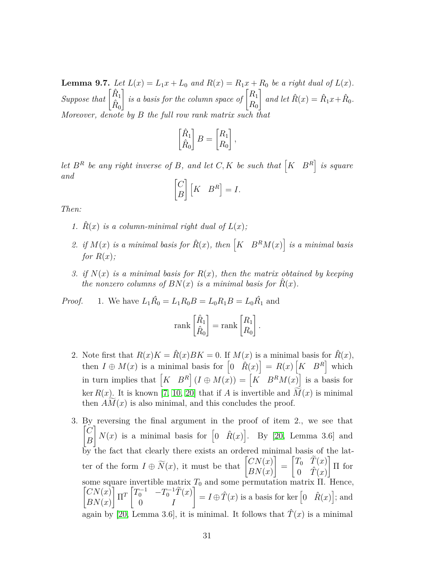<span id="page-31-0"></span>**Lemma 9.7.** *Let*  $L(x) = L_1x + L_0$  *and*  $R(x) = R_1x + R_0$  *be a right dual of*  $L(x)$ *. Suppose that*  $\begin{bmatrix} \hat{R}_1 \\ \hat{R}_0 \end{bmatrix}$ *is a basis for the column space of*  $\begin{bmatrix} R_1 \\ R_2 \end{bmatrix}$ *R*<sup>0</sup>  $\int$  and let  $\hat{R}(x) = \hat{R}_1 x + \hat{R}_0$ . *Moreover, denote by B the full row rank matrix such that*

$$
\begin{bmatrix} \hat{R}_1 \\ \hat{R}_0 \end{bmatrix} B = \begin{bmatrix} R_1 \\ R_0 \end{bmatrix},
$$

*let*  $B^R$  *be any right inverse of*  $B$ *, and let*  $C, K$  *be such that*  $\begin{bmatrix} K & B^R \end{bmatrix}$  *is square and*

$$
\begin{bmatrix} C \\ B \end{bmatrix} \begin{bmatrix} K & B^R \end{bmatrix} = I.
$$

*Then:*

- 1.  $\hat{R}(x)$  *is a column-minimal right dual of*  $L(x)$ ;
- 2. *if*  $M(x)$  *is a minimal basis for*  $\hat{R}(x)$ *, then*  $\left[K \quad B^R M(x)\right]$  *is a minimal basis for*  $R(x)$ *;*
- *3. if*  $N(x)$  *is a minimal basis for*  $R(x)$ *, then the matrix obtained by keeping the nonzero columns of*  $BN(x)$  *is a minimal basis for*  $\hat{R}(x)$ *.*

*Proof.* 1. We have  $L_1 \hat{R_0} = L_1 R_0 B = L_0 R_1 B = L_0 \hat{R_1}$  and

$$
\text{rank}\begin{bmatrix} \hat{R}_1 \\ \hat{R}_0 \end{bmatrix} = \text{rank}\begin{bmatrix} R_1 \\ R_0 \end{bmatrix}.
$$

- 2. Note first that  $R(x)K = \hat{R}(x)BK = 0$ . If  $M(x)$  is a minimal basis for  $\hat{R}(x)$ , then  $I \oplus M(x)$  is a minimal basis for  $\begin{bmatrix} 0 & \hat{R}(x) \end{bmatrix} = R(x) \begin{bmatrix} K & B^R \end{bmatrix}$  which in turn implies that  $\begin{bmatrix} K & B^R \end{bmatrix} (I \oplus M(x)) = \begin{bmatrix} K & B^R M(x) \end{bmatrix}$  is a basis for ker  $R(x)$ . It is known [\[7,](#page-34-11) [10,](#page-34-6) [20\]](#page-35-6) that if *A* is invertible and  $M(x)$  is minimal then  $AM(x)$  is also minimal, and this concludes the proof.
- 3. By reversing the final argument in the proof of item 2., we see that  $[$ C *B*  $N(x)$  is a minimal basis for  $[0 \quad \hat{R}(x)]$ . By [\[20,](#page-35-6) Lemma 3.6] and by the fact that clearly there exists an ordered minimal basis of the latter of the form  $I \oplus \widetilde{N}(x)$ , it must be that  $\begin{bmatrix} CN(x) \\ RN(x) \end{bmatrix}$ *BN*(*x*) 1 =  $\begin{bmatrix} T_0 & \tilde{T}(x) \end{bmatrix}$  $0 \quad \hat{T}(x)$ 1 Π for some square invertible matrix  $T_0$  and some permutation matrix  $\Pi$ . Hence,  $\big[CN(x)\big]$ *BN*(*x*)  $\begin{bmatrix} T_0^{-1} & -T_0^{-1} \tilde{T}(x) \\ 0 & T \end{bmatrix}$ 0 *I*  $= I \oplus \hat{T}(x)$  is a basis for ker  $\begin{bmatrix} 0 & \hat{R}(x) \end{bmatrix}$ ; and again by [\[20,](#page-35-6) Lemma 3.6], it is minimal. It follows that  $\hat{T}(x)$  is a minimal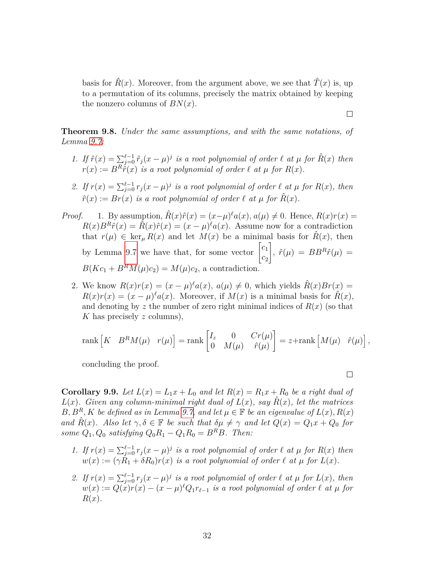basis for  $\hat{R}(x)$ . Moreover, from the argument above, we see that  $\hat{T}(x)$  is, up to a permutation of its columns, precisely the matrix obtained by keeping the nonzero columns of  $BN(x)$ .

<span id="page-32-0"></span>**Theorem 9.8.** *Under the same assumptions, and with the same notations, of Lemma [9.7:](#page-31-0)*

- *1.* If  $\hat{r}(x) = \sum_{j=0}^{\ell-1} \hat{r}_j (x \mu)^j$  is a root polynomial of order  $\ell$  *at*  $\mu$  for  $\hat{R}(x)$  then  $r(x) := B^R \hat{r}(x)$  *is a root polynomial of order*  $\ell$  *at*  $\mu$  *for*  $R(x)$ *.*
- 2. If  $r(x) = \sum_{j=0}^{\ell-1} r_j(x-\mu)^j$  is a root polynomial of order  $\ell$  at  $\mu$  for  $R(x)$ , then  $\hat{r}(x) := Br(x)$  *is a root polynomial of order*  $\ell$  *at*  $\mu$  *for*  $\hat{R}(x)$ *.*
- *Proof.* 1. By assumption,  $\hat{R}(x)\hat{r}(x) = (x-\mu)^{\ell}a(x), a(\mu) \neq 0$ . Hence,  $R(x)r(x) =$  $R(x)B^{R}\hat{r}(x) = \hat{R}(x)\hat{r}(x) = (x - \mu)^{\ell}a(x)$ . Assume now for a contradiction that  $r(\mu) \in \ker_{\mu} R(x)$  and let  $M(x)$  be a minimal basis for  $\hat{R}(x)$ , then by Lemma [9.7](#page-31-0) we have that, for some vector  $\begin{bmatrix} c_1 \\ c_2 \end{bmatrix}$ *c*2  $\int$ ,  $\hat{r}(\mu) = BB^R \hat{r}(\mu) =$  $B(Kc_1 + B^RM(\mu)c_2) = M(\mu)c_2$ , a contradiction.
	- 2. We know  $R(x)r(x) = (x \mu)^{\ell}a(x), a(\mu) \neq 0$ , which yields  $\hat{R}(x)Br(x) =$  $R(x)r(x) = (x - \mu)^{\ell}a(x)$ . Moreover, if  $M(x)$  is a minimal basis for  $\hat{R}(x)$ , and denoting by  $z$  the number of zero right minimal indices of  $R(x)$  (so that *K* has precisely *z* columns),

$$
\text{rank}\begin{bmatrix} K & B^R M(\mu) & r(\mu) \end{bmatrix} = \text{rank}\begin{bmatrix} I_z & 0 & Cr(\mu) \\ 0 & M(\mu) & \hat{r}(\mu) \end{bmatrix} = z + \text{rank}\begin{bmatrix} M(\mu) & \hat{r}(\mu) \end{bmatrix},
$$

concluding the proof.

 $\Box$ 

 $\Box$ 

**Corollary 9.9.** Let  $L(x) = L_1x + L_0$  and let  $R(x) = R_1x + R_0$  be a right dual of *L*(*x*)*.* Given any column-minimal right dual of  $L(x)$ , say  $\hat{R}(x)$ , let the matrices *B, B<sup>R</sup>, K be defined as in Lemma [9.7,](#page-31-0)* and let  $\mu \in \mathbb{F}$  be an eigenvalue of  $L(x)$ ,  $R(x)$ *and*  $\hat{R}(x)$ *. Also let*  $\gamma, \delta \in \mathbb{F}$  *be such that*  $\delta \mu \neq \gamma$  *and let*  $Q(x) = Q_1 x + Q_0$  *for some*  $Q_1$ ,  $Q_0$  *satisfying*  $Q_0R_1 - Q_1R_0 = B^RB$ *. Then:* 

- *1.* If  $r(x) = \sum_{j=0}^{\ell-1} r_j(x \mu)^j$  is a root polynomial of order  $\ell$  *at*  $\mu$  for  $R(x)$  then  $w(x) := (\gamma R_1 + \delta R_0) r(x)$  *is a root polynomial of order*  $\ell$  *at*  $\mu$  *for*  $L(x)$ *.*
- 2. If  $r(x) = \sum_{j=0}^{\ell-1} r_j(x-\mu)^j$  is a root polynomial of order  $\ell$  at  $\mu$  for  $L(x)$ , then  $w(x) := Q(x)r(x) - (x - \mu)^{\ell}Q_1r_{\ell-1}$  *is a root polynomial of order*  $\ell$  *at*  $\mu$  *for R*(*x*)*.*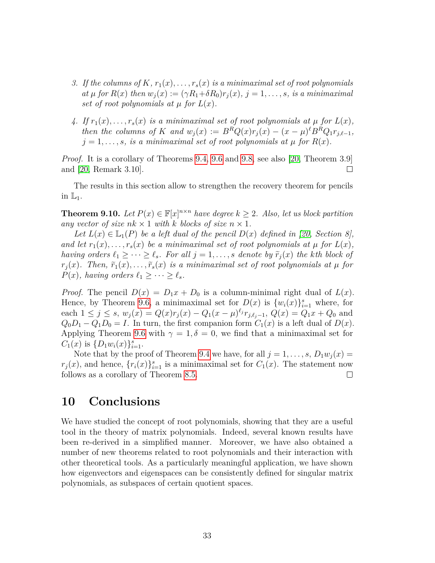- *3.* If the columns of  $K$ ,  $r_1(x), \ldots, r_s(x)$  is a minimaximal set of root polynomials  $at \mu$  *for*  $R(x)$  *then*  $w_i(x) := (\gamma R_1 + \delta R_0) r_i(x), j = 1, \ldots, s$ *, is a minimaximal set of root polynomials at*  $\mu$  *for*  $L(x)$ *.*
- 4. If  $r_1(x), \ldots, r_s(x)$  is a minimaximal set of root polynomials at  $\mu$  for  $L(x)$ , then the columns of K and  $w_j(x) := B^R Q(x) r_j(x) - (x - \mu)^{\ell} B^R Q_1 r_{j,\ell-1}$ ,  $j = 1, \ldots, s$ *, is a minimaximal set of root polynomials at*  $\mu$  *for*  $R(x)$ *.*

*Proof.* It is a corollary of Theorems [9.4,](#page-28-1) [9.6](#page-29-0) and [9.8,](#page-32-0) see also [\[20,](#page-35-6) Theorem 3.9] and [\[20,](#page-35-6) Remark 3.10].  $\Box$ 

The results in this section allow to strengthen the recovery theorem for pencils in  $\mathbb{L}_1$ .

**Theorem 9.10.** *Let*  $P(x) \in \mathbb{F}[x]^{n \times n}$  *have degree*  $k \geq 2$ *. Also, let us block partition any vector of size*  $nk \times 1$  *with k blocks of size*  $n \times 1$ *.* 

*Let*  $L(x) \in L_1(P)$  *be a left dual of the pencil*  $D(x)$  *defined in [\[20,](#page-35-6) Section 8]*, *and let*  $r_1(x), \ldots, r_s(x)$  *be a minimaximal set of root polynomials at*  $\mu$  *for*  $L(x)$ *, having orders*  $\ell_1 \geq \cdots \geq \ell_s$ *. For all*  $j = 1, \ldots, s$  *denote by*  $\tilde{r}_j(x)$  *the kth block of*  $r_j(x)$ *. Then,*  $\tilde{r}_1(x), \ldots, \tilde{r}_s(x)$  *is a minimaximal set of root polynomials at*  $\mu$  *for*  $P(x)$ *, having orders*  $\ell_1 \geq \cdots \geq \ell_s$ *.* 

*Proof.* The pencil  $D(x) = D_1x + D_0$  is a column-minimal right dual of  $L(x)$ . Hence, by Theorem [9.6,](#page-29-0) a minimaximal set for  $D(x)$  is  $\{w_i(x)\}_{i=1}^s$  where, for each  $1 \leq j \leq s$ ,  $w_j(x) = Q(x)r_j(x) - Q_1(x - \mu)^{\ell_j} r_{j,\ell_j-1}$ ,  $Q(x) = Q_1x + Q_0$  and  $Q_0D_1 - Q_1D_0 = I$ . In turn, the first companion form  $C_1(x)$  is a left dual of  $D(x)$ . Applying Theorem [9.6](#page-29-0) with  $\gamma = 1, \delta = 0$ , we find that a minimaximal set for  $C_1(x)$  is  $\{D_1w_i(x)\}_{i=1}^s$ .

Note that by the proof of Theorem [9.4](#page-28-1) we have, for all  $j = 1, \ldots, s, D_1 w_j(x) =$  $r_j(x)$ , and hence,  $\{r_i(x)\}_{i=1}^s$  is a minimaximal set for  $C_1(x)$ . The statement now follows as a corollary of Theorem [8.5.](#page-24-0)  $\Box$ 

## <span id="page-33-0"></span>**10 Conclusions**

We have studied the concept of root polynomials, showing that they are a useful tool in the theory of matrix polynomials. Indeed, several known results have been re-derived in a simplified manner. Moreover, we have also obtained a number of new theorems related to root polynomials and their interaction with other theoretical tools. As a particularly meaningful application, we have shown how eigenvectors and eigenspaces can be consistently defined for singular matrix polynomials, as subspaces of certain quotient spaces.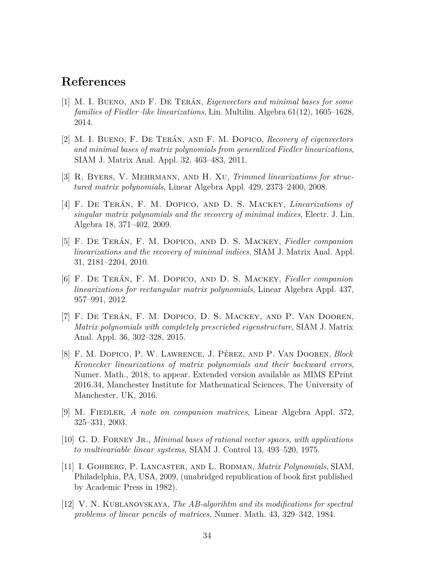## **References**

- <span id="page-34-1"></span>[1] M. I. Bueno, and F. De Terán, *Eigenvectors and minimal bases for some families of Fiedler–like linearizations*, Lin. Multilin. Algebra 61(12), 1605–1628, 2014.
- <span id="page-34-2"></span>[2] M. I. Bueno, F. De Terán, and F. M. Dopico, *Recovery of eigenvectors and minimal bases of matrix polynomials from generalized Fiedler linearizations*, SIAM J. Matrix Anal. Appl. 32, 463–483, 2011.
- <span id="page-34-5"></span>[3] R. Byers, V. Mehrmann, and H. Xu, *Trimmed linearizations for structured matrix polynomials*, Linear Algebra Appl. 429, 2373–2400, 2008.
- <span id="page-34-3"></span>[4] F. De Terán, F. M. Dopico, and D. S. Mackey, *Linearizations of singular matrix polynomials and the recovery of minimal indices*, Electr. J. Lin. Algebra 18, 371–402, 2009.
- <span id="page-34-4"></span>[5] F. De Terán, F. M. Dopico, and D. S. Mackey, *Fiedler companion linearizations and the recovery of minimal indices*, SIAM J. Matrix Anal. Appl. 31, 2181–2204, 2010.
- <span id="page-34-8"></span>[6] F. De Terán, F. M. Dopico, and D. S. Mackey, *Fiedler companion linearizations for rectangular matrix polynomials*, Linear Algebra Appl. 437, 957–991, 2012.
- <span id="page-34-11"></span>[7] F. De Terán, F. M. Dopico, D. S. Mackey, and P. Van Dooren, *Matrix polynomials with completely prescriebed eigenstructure*, SIAM J. Matrix Anal. Appl. 36, 302–328, 2015.
- <span id="page-34-9"></span>[8] F. M. Dopico, P. W. Lawrence, J. Pérez, and P. Van Dooren, *Block Kronecker linearizations of matrix polynomials and their backward errors*, Numer. Math., 2018, to appear. Extended version available as MIMS EPrint 2016.34, Manchester Institute for Mathematical Sciences, The University of Manchester, UK, 2016.
- <span id="page-34-7"></span>[9] M. Fiedler, *A note on companion matrices*, Linear Algebra Appl. 372, 325–331, 2003.
- <span id="page-34-6"></span>[10] G. D. Forney Jr., *Minimal bases of rational vector spaces, with applications to multivariable linear systems*, SIAM J. Control 13, 493–520, 1975.
- <span id="page-34-0"></span>[11] I. Gohberg, P. Lancaster, and L. Rodman, *Matrix Polynomials*, SIAM, Philadelphia, PA, USA, 2009, (unabridged republication of book first published by Academic Press in 1982).
- <span id="page-34-10"></span>[12] V. N. Kublanovskaya, *The AB-algorihtm and its modifications for spectral problems of linear pencils of matrices*, Numer. Math. 43, 329–342, 1984.